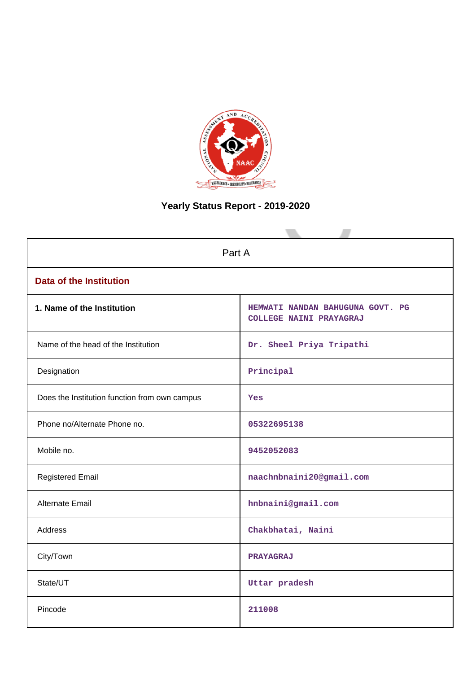

# **Yearly Status Report - 2019-2020**

| Part A                                        |                                                             |  |  |  |  |
|-----------------------------------------------|-------------------------------------------------------------|--|--|--|--|
| <b>Data of the Institution</b>                |                                                             |  |  |  |  |
| 1. Name of the Institution                    | HEMWATI NANDAN BAHUGUNA GOVT. PG<br>COLLEGE NAINI PRAYAGRAJ |  |  |  |  |
| Name of the head of the Institution           | Dr. Sheel Priya Tripathi                                    |  |  |  |  |
| Designation                                   | Principal                                                   |  |  |  |  |
| Does the Institution function from own campus | Yes                                                         |  |  |  |  |
| Phone no/Alternate Phone no.                  | 05322695138                                                 |  |  |  |  |
| Mobile no.                                    | 9452052083                                                  |  |  |  |  |
| <b>Registered Email</b>                       | naachnbnaini20@gmail.com                                    |  |  |  |  |
| Alternate Email                               | hnbnaini@gmail.com                                          |  |  |  |  |
| <b>Address</b>                                | Chakbhatai, Naini                                           |  |  |  |  |
| City/Town                                     | PRAYAGRAJ                                                   |  |  |  |  |
| State/UT                                      | Uttar pradesh                                               |  |  |  |  |
| Pincode                                       | 211008                                                      |  |  |  |  |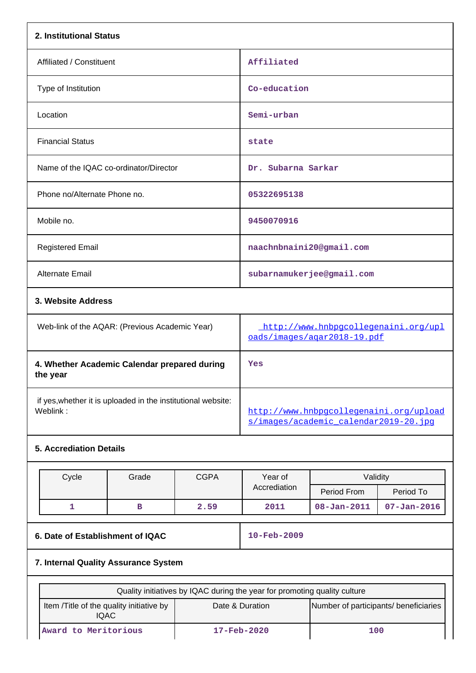| 2. Institutional Status                                                   |              |             |                                                                                  |                   |                   |  |  |
|---------------------------------------------------------------------------|--------------|-------------|----------------------------------------------------------------------------------|-------------------|-------------------|--|--|
| Affiliated / Constituent                                                  |              |             | Affiliated                                                                       |                   |                   |  |  |
| Type of Institution                                                       |              |             | Co-education                                                                     |                   |                   |  |  |
| Location                                                                  |              |             | Semi-urban                                                                       |                   |                   |  |  |
| <b>Financial Status</b>                                                   |              |             | state                                                                            |                   |                   |  |  |
| Name of the IQAC co-ordinator/Director                                    |              |             | Dr. Subarna Sarkar                                                               |                   |                   |  |  |
| Phone no/Alternate Phone no.                                              |              |             | 05322695138                                                                      |                   |                   |  |  |
| Mobile no.                                                                |              |             | 9450070916                                                                       |                   |                   |  |  |
| <b>Registered Email</b>                                                   |              |             | naachnbnaini20@gmail.com                                                         |                   |                   |  |  |
| Alternate Email                                                           |              |             | subarnamukerjee@gmail.com                                                        |                   |                   |  |  |
| 3. Website Address                                                        |              |             |                                                                                  |                   |                   |  |  |
| Web-link of the AQAR: (Previous Academic Year)                            |              |             | http://www.hnbpgcollegenaini.org/upl<br>oads/images/agar2018-19.pdf              |                   |                   |  |  |
| 4. Whether Academic Calendar prepared during<br>the year                  |              |             | Yes                                                                              |                   |                   |  |  |
| if yes, whether it is uploaded in the institutional website:<br>Weblink:  |              |             | http://www.hnbpgcollegenaini.org/upload<br>s/images/academic calendar2019-20.jpg |                   |                   |  |  |
| <b>5. Accrediation Details</b>                                            |              |             |                                                                                  |                   |                   |  |  |
| Cycle                                                                     | Grade        | <b>CGPA</b> | Year of                                                                          | Validity          |                   |  |  |
|                                                                           |              |             | Accrediation                                                                     | Period From       | Period To         |  |  |
| $\mathbf{1}$                                                              | $\, {\bf B}$ | 2.59        | 2011                                                                             | $08 - Jan - 2011$ | $07 - Jan - 2016$ |  |  |
| 6. Date of Establishment of IQAC<br>10-Feb-2009                           |              |             |                                                                                  |                   |                   |  |  |
| 7. Internal Quality Assurance System                                      |              |             |                                                                                  |                   |                   |  |  |
| Quality initiatives by IQAC during the year for promoting quality culture |              |             |                                                                                  |                   |                   |  |  |

| Quality initiatives by IQAC during the year for profitoting quality culture |                          |                                       |  |  |  |  |
|-----------------------------------------------------------------------------|--------------------------|---------------------------------------|--|--|--|--|
| Item / Title of the quality initiative by<br><b>IQAC</b>                    | Date & Duration          | Number of participants/ beneficiaries |  |  |  |  |
| Award to Meritorious                                                        | $17 - \text{Feb} - 2020$ | 100                                   |  |  |  |  |

 $\mathbf{L}$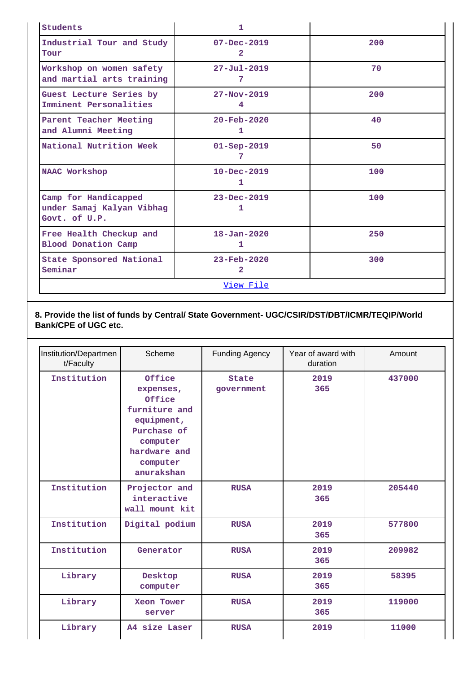| Students                                                           | 1                                         |     |  |  |  |  |
|--------------------------------------------------------------------|-------------------------------------------|-----|--|--|--|--|
| Industrial Tour and Study<br>Tour                                  | $07 - Dec - 2019$<br>$\mathbf{2}^{\circ}$ | 200 |  |  |  |  |
| Workshop on women safety<br>and martial arts training              | $27 - Jul - 2019$<br>7                    | 70  |  |  |  |  |
| Guest Lecture Series by<br>Imminent Personalities                  | $27 - Nov - 2019$<br>4                    | 200 |  |  |  |  |
| Parent Teacher Meeting<br>and Alumni Meeting                       | $20 - \text{Feb} - 2020$<br>1             | 40  |  |  |  |  |
| National Nutrition Week                                            | $01 -$ Sep-2019<br>7                      | 50  |  |  |  |  |
| <b>NAAC Workshop</b>                                               | $10 - Dec - 2019$<br>1                    | 100 |  |  |  |  |
| Camp for Handicapped<br>under Samaj Kalyan Vibhag<br>Govt. of U.P. | $23 - Dec - 2019$<br>ı                    | 100 |  |  |  |  |
| Free Health Checkup and<br><b>Blood Donation Camp</b>              | $18 - Jan - 2020$<br>1.                   | 250 |  |  |  |  |
| State Sponsored National<br>Seminar                                | $23 - \text{Feb} - 2020$<br>2             | 300 |  |  |  |  |
| <u>View File</u>                                                   |                                           |     |  |  |  |  |

**8. Provide the list of funds by Central/ State Government- UGC/CSIR/DST/DBT/ICMR/TEQIP/World Bank/CPE of UGC etc.**

| Institution/Departmen<br>t/Faculty | Scheme                                                                                                                            | <b>Funding Agency</b>      | Year of award with<br>duration | Amount |
|------------------------------------|-----------------------------------------------------------------------------------------------------------------------------------|----------------------------|--------------------------------|--------|
| Institution                        | Office<br>expenses,<br>Office<br>furniture and<br>equipment,<br>Purchase of<br>computer<br>hardware and<br>computer<br>anurakshan | <b>State</b><br>government | 2019<br>365                    | 437000 |
| Institution                        | Projector and<br>interactive<br>wall mount kit                                                                                    | <b>RUSA</b>                | 2019<br>365                    | 205440 |
| Institution                        | Digital podium                                                                                                                    | <b>RUSA</b>                | 2019<br>365                    | 577800 |
| Institution                        | Generator                                                                                                                         | <b>RUSA</b>                | 2019<br>365                    | 209982 |
| Library                            | Desktop<br>computer                                                                                                               | <b>RUSA</b>                | 2019<br>365                    | 58395  |
| Library                            | Xeon Tower<br>server                                                                                                              |                            | 2019<br>365                    | 119000 |
| Library                            | A4 size Laser                                                                                                                     | <b>RUSA</b>                | 2019                           | 11000  |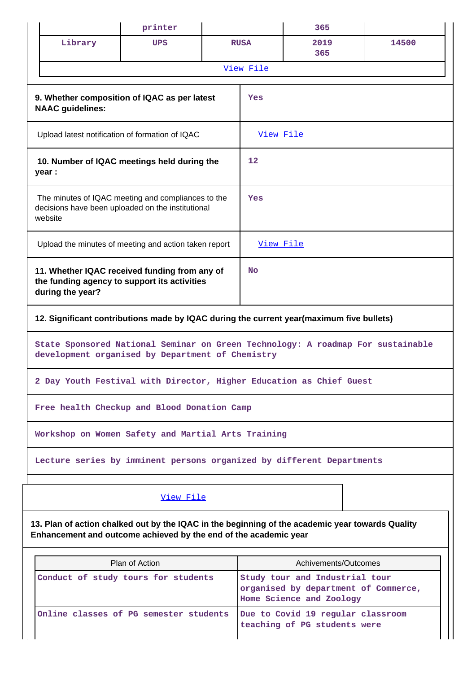|                                                                                                                                                                      | printer        |  |             | 365                                                               |                                      |  |  |
|----------------------------------------------------------------------------------------------------------------------------------------------------------------------|----------------|--|-------------|-------------------------------------------------------------------|--------------------------------------|--|--|
| Library                                                                                                                                                              | <b>UPS</b>     |  | <b>RUSA</b> | 2019<br>365                                                       | 14500                                |  |  |
|                                                                                                                                                                      |                |  | View File   |                                                                   |                                      |  |  |
| 9. Whether composition of IQAC as per latest<br><b>NAAC</b> guidelines:                                                                                              |                |  | Yes         |                                                                   |                                      |  |  |
| Upload latest notification of formation of IQAC                                                                                                                      |                |  | View File   |                                                                   |                                      |  |  |
| 10. Number of IQAC meetings held during the<br>year :                                                                                                                |                |  | 12          |                                                                   |                                      |  |  |
| The minutes of IQAC meeting and compliances to the<br>decisions have been uploaded on the institutional<br>website                                                   |                |  | Yes         |                                                                   |                                      |  |  |
| Upload the minutes of meeting and action taken report                                                                                                                |                |  | View File   |                                                                   |                                      |  |  |
| 11. Whether IQAC received funding from any of<br>the funding agency to support its activities<br>during the year?                                                    |                |  | <b>No</b>   |                                                                   |                                      |  |  |
| 12. Significant contributions made by IQAC during the current year(maximum five bullets)                                                                             |                |  |             |                                                                   |                                      |  |  |
| State Sponsored National Seminar on Green Technology: A roadmap For sustainable<br>development organised by Department of Chemistry                                  |                |  |             |                                                                   |                                      |  |  |
| 2 Day Youth Festival with Director, Higher Education as Chief Guest                                                                                                  |                |  |             |                                                                   |                                      |  |  |
| Free health Checkup and Blood Donation Camp                                                                                                                          |                |  |             |                                                                   |                                      |  |  |
| Workshop on Women Safety and Martial Arts Training                                                                                                                   |                |  |             |                                                                   |                                      |  |  |
| Lecture series by imminent persons organized by different Departments                                                                                                |                |  |             |                                                                   |                                      |  |  |
|                                                                                                                                                                      | View File      |  |             |                                                                   |                                      |  |  |
| 13. Plan of action chalked out by the IQAC in the beginning of the academic year towards Quality<br>Enhancement and outcome achieved by the end of the academic year |                |  |             |                                                                   |                                      |  |  |
|                                                                                                                                                                      | Plan of Action |  |             | Achivements/Outcomes                                              |                                      |  |  |
| Conduct of study tours for students                                                                                                                                  |                |  |             | Study tour and Industrial tour<br>Home Science and Zoology        | organised by department of Commerce, |  |  |
| Online classes of PG semester students                                                                                                                               |                |  |             | Due to Covid 19 regular classroom<br>teaching of PG students were |                                      |  |  |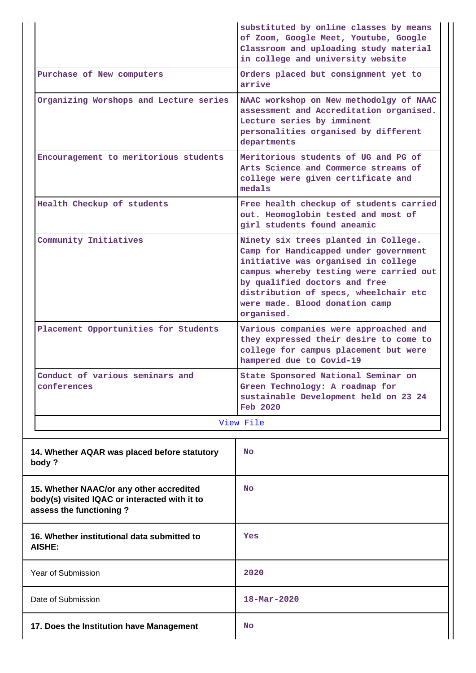|                                                                                                                      | substituted by online classes by means<br>of Zoom, Google Meet, Youtube, Google<br>Classroom and uploading study material<br>in college and university website                                                                                                                            |  |  |
|----------------------------------------------------------------------------------------------------------------------|-------------------------------------------------------------------------------------------------------------------------------------------------------------------------------------------------------------------------------------------------------------------------------------------|--|--|
| Purchase of New computers                                                                                            | Orders placed but consignment yet to<br>arrive                                                                                                                                                                                                                                            |  |  |
| Organizing Worshops and Lecture series                                                                               | NAAC workshop on New methodolgy of NAAC<br>assessment and Accreditation organised.<br>Lecture series by imminent<br>personalities organised by different<br>departments                                                                                                                   |  |  |
| Encouragement to meritorious students                                                                                | Meritorious students of UG and PG of<br>Arts Science and Commerce streams of<br>college were given certificate and<br>medals                                                                                                                                                              |  |  |
| Health Checkup of students                                                                                           | Free health checkup of students carried<br>out. Heomoglobin tested and most of<br>girl students found aneamic                                                                                                                                                                             |  |  |
| Community Initiatives                                                                                                | Ninety six trees planted in College.<br>Camp for Handicapped under government<br>initiative was organised in college<br>campus whereby testing were carried out<br>by qualified doctors and free<br>distribution of specs, wheelchair etc<br>were made. Blood donation camp<br>organised. |  |  |
| Placement Opportunities for Students                                                                                 | Various companies were approached and<br>they expressed their desire to come to<br>college for campus placement but were<br>hampered due to Covid-19                                                                                                                                      |  |  |
| Conduct of various seminars and<br>conferences                                                                       | State Sponsored National Seminar on<br>Green Technology: A roadmap for<br>sustainable Development held on 23 24<br><b>Feb 2020</b>                                                                                                                                                        |  |  |
|                                                                                                                      | View File                                                                                                                                                                                                                                                                                 |  |  |
| 14. Whether AQAR was placed before statutory<br>body?                                                                | No                                                                                                                                                                                                                                                                                        |  |  |
| 15. Whether NAAC/or any other accredited<br>body(s) visited IQAC or interacted with it to<br>assess the functioning? | No                                                                                                                                                                                                                                                                                        |  |  |
| 16. Whether institutional data submitted to<br>AISHE:                                                                | Yes                                                                                                                                                                                                                                                                                       |  |  |
| <b>Year of Submission</b>                                                                                            | 2020                                                                                                                                                                                                                                                                                      |  |  |
| Date of Submission                                                                                                   | $18 - \text{Mar} - 2020$                                                                                                                                                                                                                                                                  |  |  |
| 17. Does the Institution have Management                                                                             | No                                                                                                                                                                                                                                                                                        |  |  |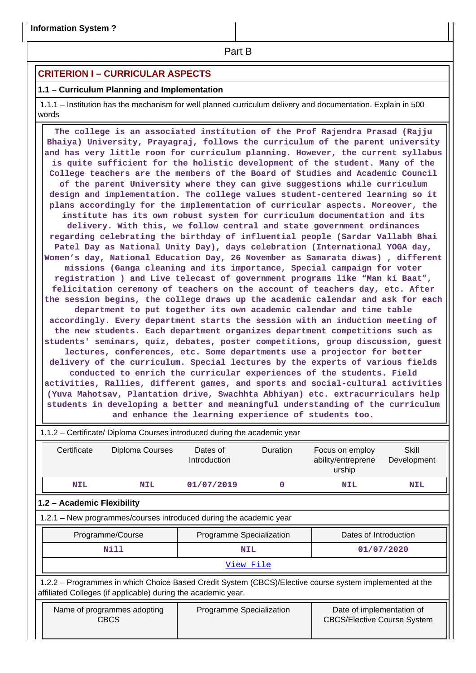**Part B** 

## **CRITERION I – CURRICULAR ASPECTS**

## **1.1 – Curriculum Planning and Implementation**

 1.1.1 – Institution has the mechanism for well planned curriculum delivery and documentation. Explain in 500 words

 **The college is an associated institution of the Prof Rajendra Prasad (Rajju Bhaiya) University, Prayagraj, follows the curriculum of the parent university and has very little room for curriculum planning. However, the current syllabus is quite sufficient for the holistic development of the student. Many of the College teachers are the members of the Board of Studies and Academic Council of the parent University where they can give suggestions while curriculum design and implementation. The college values student-centered learning so it plans accordingly for the implementation of curricular aspects. Moreover, the institute has its own robust system for curriculum documentation and its delivery. With this, we follow central and state government ordinances regarding celebrating the birthday of influential people (Sardar Vallabh Bhai Patel Day as National Unity Day), days celebration (International YOGA day, Women's day, National Education Day, 26 November as Samarata diwas) , different missions (Ganga cleaning and its importance, Special campaign for voter registration ) and Live telecast of government programs like "Man ki Baat", felicitation ceremony of teachers on the account of teachers day, etc. After the session begins, the college draws up the academic calendar and ask for each department to put together its own academic calendar and time table accordingly. Every department starts the session with an induction meeting of the new students. Each department organizes department competitions such as students' seminars, quiz, debates, poster competitions, group discussion, guest lectures, conferences, etc. Some departments use a projector for better delivery of the curriculum. Special lectures by the experts of various fields conducted to enrich the curricular experiences of the students. Field activities, Rallies, different games, and sports and social-cultural activities (Yuva Mahotsav, Plantation drive, Swachhta Abhiyan) etc. extracurriculars help students in developing a better and meaningful understanding of the curriculum and enhance the learning experience of students too.**

| 1.1.2 - Certificate/ Diploma Courses introduced during the academic year                                                                                                 |                                                                    |                          |          |                                                                 |                      |  |  |  |
|--------------------------------------------------------------------------------------------------------------------------------------------------------------------------|--------------------------------------------------------------------|--------------------------|----------|-----------------------------------------------------------------|----------------------|--|--|--|
| Certificate<br>Diploma Courses                                                                                                                                           |                                                                    | Dates of<br>Introduction | Duration | Focus on employ<br>ability/entreprene<br>urship                 | Skill<br>Development |  |  |  |
| <b>NIL</b>                                                                                                                                                               | 01/07/2019<br><b>NIL</b>                                           |                          | $\Omega$ | <b>NIL</b>                                                      | <b>NIL</b>           |  |  |  |
| 1.2 - Academic Flexibility                                                                                                                                               |                                                                    |                          |          |                                                                 |                      |  |  |  |
|                                                                                                                                                                          | 1.2.1 - New programmes/courses introduced during the academic year |                          |          |                                                                 |                      |  |  |  |
|                                                                                                                                                                          | Programme/Course                                                   | Programme Specialization |          | Dates of Introduction                                           |                      |  |  |  |
|                                                                                                                                                                          | Nill                                                               | <b>NIL</b>               |          | 01/07/2020                                                      |                      |  |  |  |
| View File                                                                                                                                                                |                                                                    |                          |          |                                                                 |                      |  |  |  |
| 1.2.2 - Programmes in which Choice Based Credit System (CBCS)/Elective course system implemented at the<br>affiliated Colleges (if applicable) during the academic year. |                                                                    |                          |          |                                                                 |                      |  |  |  |
|                                                                                                                                                                          | Name of programmes adopting<br><b>CBCS</b>                         | Programme Specialization |          | Date of implementation of<br><b>CBCS/Elective Course System</b> |                      |  |  |  |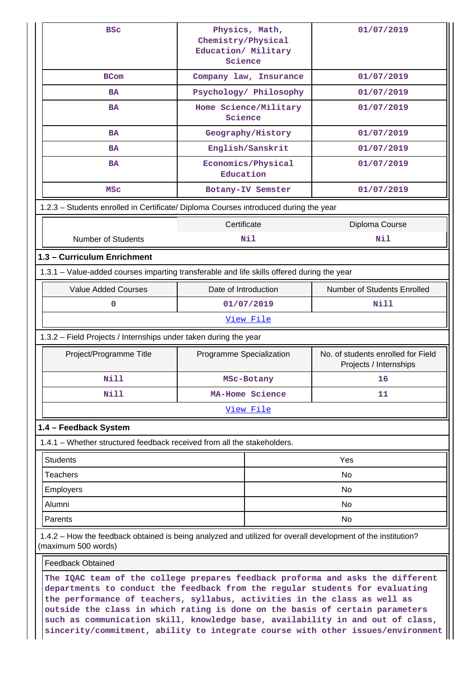| <b>BSC</b>                                                                                                                                                                                                                                                                                                                  | Physics, Math,<br>Chemistry/Physical<br>Education/ Military<br>Science | 01/07/2019                                                   |  |  |  |  |  |
|-----------------------------------------------------------------------------------------------------------------------------------------------------------------------------------------------------------------------------------------------------------------------------------------------------------------------------|------------------------------------------------------------------------|--------------------------------------------------------------|--|--|--|--|--|
| <b>BCom</b>                                                                                                                                                                                                                                                                                                                 | Company law, Insurance                                                 | 01/07/2019                                                   |  |  |  |  |  |
| <b>BA</b>                                                                                                                                                                                                                                                                                                                   | Psychology/ Philosophy                                                 | 01/07/2019                                                   |  |  |  |  |  |
| <b>BA</b>                                                                                                                                                                                                                                                                                                                   | Home Science/Military<br>Science                                       | 01/07/2019                                                   |  |  |  |  |  |
| <b>BA</b>                                                                                                                                                                                                                                                                                                                   | Geography/History                                                      | 01/07/2019                                                   |  |  |  |  |  |
| <b>BA</b>                                                                                                                                                                                                                                                                                                                   | English/Sanskrit                                                       | 01/07/2019                                                   |  |  |  |  |  |
| <b>BA</b>                                                                                                                                                                                                                                                                                                                   | Economics/Physical<br>Education                                        | 01/07/2019                                                   |  |  |  |  |  |
| MSC                                                                                                                                                                                                                                                                                                                         | Botany-IV Semster                                                      | 01/07/2019                                                   |  |  |  |  |  |
| 1.2.3 - Students enrolled in Certificate/ Diploma Courses introduced during the year                                                                                                                                                                                                                                        |                                                                        |                                                              |  |  |  |  |  |
| Certificate<br>Diploma Course                                                                                                                                                                                                                                                                                               |                                                                        |                                                              |  |  |  |  |  |
| <b>Number of Students</b>                                                                                                                                                                                                                                                                                                   | <b>Nil</b>                                                             | Nil                                                          |  |  |  |  |  |
| 1.3 - Curriculum Enrichment                                                                                                                                                                                                                                                                                                 |                                                                        |                                                              |  |  |  |  |  |
| 1.3.1 - Value-added courses imparting transferable and life skills offered during the year                                                                                                                                                                                                                                  |                                                                        |                                                              |  |  |  |  |  |
| <b>Value Added Courses</b>                                                                                                                                                                                                                                                                                                  | Date of Introduction                                                   | Number of Students Enrolled                                  |  |  |  |  |  |
| $\mathbf 0$                                                                                                                                                                                                                                                                                                                 | 01/07/2019                                                             | Nill                                                         |  |  |  |  |  |
|                                                                                                                                                                                                                                                                                                                             | View File                                                              |                                                              |  |  |  |  |  |
| 1.3.2 - Field Projects / Internships under taken during the year                                                                                                                                                                                                                                                            |                                                                        |                                                              |  |  |  |  |  |
| Project/Programme Title                                                                                                                                                                                                                                                                                                     | Programme Specialization                                               | No. of students enrolled for Field<br>Projects / Internships |  |  |  |  |  |
| Nill                                                                                                                                                                                                                                                                                                                        | MSc-Botany                                                             | 16 <sup>1</sup>                                              |  |  |  |  |  |
| Nill                                                                                                                                                                                                                                                                                                                        | MA-Home Science                                                        | 11                                                           |  |  |  |  |  |
|                                                                                                                                                                                                                                                                                                                             | View File                                                              |                                                              |  |  |  |  |  |
| 1.4 - Feedback System                                                                                                                                                                                                                                                                                                       |                                                                        |                                                              |  |  |  |  |  |
| 1.4.1 – Whether structured feedback received from all the stakeholders.                                                                                                                                                                                                                                                     |                                                                        |                                                              |  |  |  |  |  |
| <b>Students</b>                                                                                                                                                                                                                                                                                                             |                                                                        | Yes                                                          |  |  |  |  |  |
| <b>Teachers</b>                                                                                                                                                                                                                                                                                                             |                                                                        | No                                                           |  |  |  |  |  |
| <b>Employers</b>                                                                                                                                                                                                                                                                                                            |                                                                        | No.                                                          |  |  |  |  |  |
| Alumni                                                                                                                                                                                                                                                                                                                      |                                                                        | No                                                           |  |  |  |  |  |
| Parents                                                                                                                                                                                                                                                                                                                     |                                                                        | No.                                                          |  |  |  |  |  |
| 1.4.2 – How the feedback obtained is being analyzed and utilized for overall development of the institution?<br>(maximum 500 words)                                                                                                                                                                                         |                                                                        |                                                              |  |  |  |  |  |
| <b>Feedback Obtained</b>                                                                                                                                                                                                                                                                                                    |                                                                        |                                                              |  |  |  |  |  |
| The IQAC team of the college prepares feedback proforma and asks the different<br>departments to conduct the feedback from the regular students for evaluating<br>the performance of teachers, syllabus, activities in the class as well as<br>outside the class in which rating is done on the basis of certain parameters |                                                                        |                                                              |  |  |  |  |  |

**such as communication skill, knowledge base, availability in and out of class, sincerity/commitment, ability to integrate course with other issues/environment**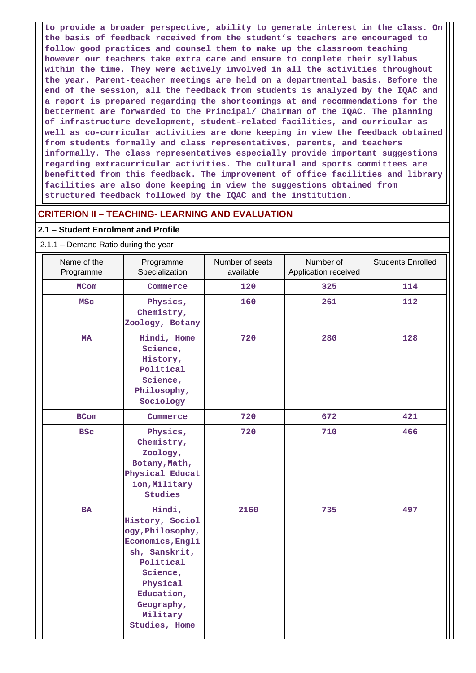**to provide a broader perspective, ability to generate interest in the class. On the basis of feedback received from the student's teachers are encouraged to follow good practices and counsel them to make up the classroom teaching however our teachers take extra care and ensure to complete their syllabus within the time. They were actively involved in all the activities throughout the year. Parent-teacher meetings are held on a departmental basis. Before the end of the session, all the feedback from students is analyzed by the IQAC and a report is prepared regarding the shortcomings at and recommendations for the betterment are forwarded to the Principal/ Chairman of the IQAC. The planning of infrastructure development, student-related facilities, and curricular as well as co-curricular activities are done keeping in view the feedback obtained from students formally and class representatives, parents, and teachers informally. The class representatives especially provide important suggestions regarding extracurricular activities. The cultural and sports committees are benefitted from this feedback. The improvement of office facilities and library facilities are also done keeping in view the suggestions obtained from structured feedback followed by the IQAC and the institution.**

## **CRITERION II – TEACHING- LEARNING AND EVALUATION**

#### **2.1 – Student Enrolment and Profile**

2.1.1 – Demand Ratio during the year

| Name of the<br>Programme | Programme<br>Specialization                                                                                                                                                      |      | Number of<br>Application received | <b>Students Enrolled</b> |
|--------------------------|----------------------------------------------------------------------------------------------------------------------------------------------------------------------------------|------|-----------------------------------|--------------------------|
| <b>MCom</b>              | Commerce                                                                                                                                                                         | 120  | 325                               | 114                      |
| <b>MSC</b>               | Physics,<br>Chemistry,<br>Zoology, Botany                                                                                                                                        | 160  | 261                               | 112                      |
| <b>MA</b>                | Hindi, Home<br>Science,<br>History,<br>Political<br>Science,<br>Philosophy,<br>Sociology                                                                                         | 720  | 280                               | 128                      |
| <b>BCom</b>              | Commerce                                                                                                                                                                         | 720  | 672                               | 421                      |
| <b>BSC</b>               | Physics,<br>Chemistry,<br>Zoology,<br>Botany, Math,<br>Physical Educat<br>ion, Military<br>Studies                                                                               | 720  | 710                               | 466                      |
| <b>BA</b>                | Hindi,<br>History, Sociol<br>ogy, Philosophy,<br>Economics, Engli<br>sh, Sanskrit,<br>Political<br>Science,<br>Physical<br>Education,<br>Geography,<br>Military<br>Studies, Home | 2160 | 735                               | 497                      |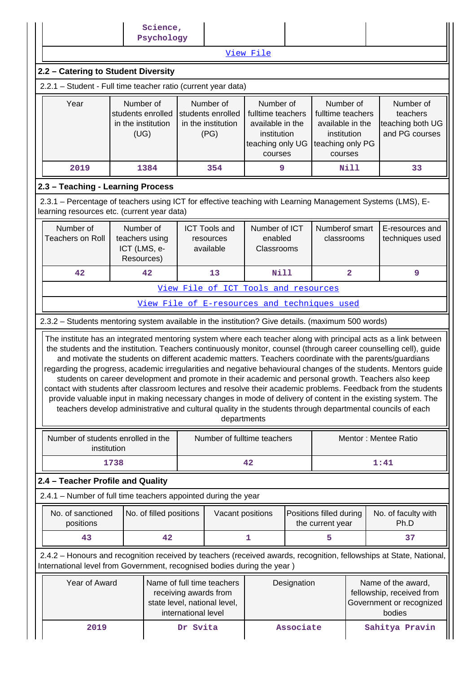|                                                                                                                                                                                                                                                                                                                                              |      | Science,<br>Psychology  |          |                                              |             |                                                                                       |                                                             |                         |                                                                                                                                                                                                                                                                                                                                                                                                                                                                                                                                                                     |
|----------------------------------------------------------------------------------------------------------------------------------------------------------------------------------------------------------------------------------------------------------------------------------------------------------------------------------------------|------|-------------------------|----------|----------------------------------------------|-------------|---------------------------------------------------------------------------------------|-------------------------------------------------------------|-------------------------|---------------------------------------------------------------------------------------------------------------------------------------------------------------------------------------------------------------------------------------------------------------------------------------------------------------------------------------------------------------------------------------------------------------------------------------------------------------------------------------------------------------------------------------------------------------------|
|                                                                                                                                                                                                                                                                                                                                              |      |                         |          |                                              | View File   |                                                                                       |                                                             |                         |                                                                                                                                                                                                                                                                                                                                                                                                                                                                                                                                                                     |
| 2.2 - Catering to Student Diversity                                                                                                                                                                                                                                                                                                          |      |                         |          |                                              |             |                                                                                       |                                                             |                         |                                                                                                                                                                                                                                                                                                                                                                                                                                                                                                                                                                     |
| 2.2.1 - Student - Full time teacher ratio (current year data)                                                                                                                                                                                                                                                                                |      |                         |          |                                              |             |                                                                                       |                                                             |                         |                                                                                                                                                                                                                                                                                                                                                                                                                                                                                                                                                                     |
| Year<br>Number of<br>Number of<br>Number of<br>Number of<br>students enrolled<br>students enrolled<br>fulltime teachers<br>fulltime teachers<br>in the institution<br>in the institution<br>available in the<br>available in the<br>(UG)<br>(PG)<br>institution<br>institution<br>teaching only PG<br>teaching only UG<br>courses<br>courses |      |                         |          |                                              |             |                                                                                       | Number of<br>teachers<br>teaching both UG<br>and PG courses |                         |                                                                                                                                                                                                                                                                                                                                                                                                                                                                                                                                                                     |
| 2019                                                                                                                                                                                                                                                                                                                                         |      | 1384                    |          | 354                                          | 9           |                                                                                       |                                                             | Nill                    | 33                                                                                                                                                                                                                                                                                                                                                                                                                                                                                                                                                                  |
| 2.3 - Teaching - Learning Process                                                                                                                                                                                                                                                                                                            |      |                         |          |                                              |             |                                                                                       |                                                             |                         |                                                                                                                                                                                                                                                                                                                                                                                                                                                                                                                                                                     |
| 2.3.1 – Percentage of teachers using ICT for effective teaching with Learning Management Systems (LMS), E-<br>learning resources etc. (current year data)                                                                                                                                                                                    |      |                         |          |                                              |             |                                                                                       |                                                             |                         |                                                                                                                                                                                                                                                                                                                                                                                                                                                                                                                                                                     |
| Number of<br>Number of<br>Number of ICT<br>Numberof smart<br><b>ICT Tools and</b><br>E-resources and<br><b>Teachers on Roll</b><br>enabled<br>teachers using<br>classrooms<br>techniques used<br>resources<br>ICT (LMS, e-<br>available<br>Classrooms<br>Resources)                                                                          |      |                         |          |                                              |             |                                                                                       |                                                             |                         |                                                                                                                                                                                                                                                                                                                                                                                                                                                                                                                                                                     |
| 42                                                                                                                                                                                                                                                                                                                                           |      | 42                      |          | 13                                           | <b>Nill</b> |                                                                                       |                                                             | $\overline{\mathbf{2}}$ | 9                                                                                                                                                                                                                                                                                                                                                                                                                                                                                                                                                                   |
|                                                                                                                                                                                                                                                                                                                                              |      |                         |          | View File of ICT Tools and resources         |             |                                                                                       |                                                             |                         |                                                                                                                                                                                                                                                                                                                                                                                                                                                                                                                                                                     |
|                                                                                                                                                                                                                                                                                                                                              |      |                         |          | View File of E-resources and techniques used |             |                                                                                       |                                                             |                         |                                                                                                                                                                                                                                                                                                                                                                                                                                                                                                                                                                     |
| 2.3.2 - Students mentoring system available in the institution? Give details. (maximum 500 words)                                                                                                                                                                                                                                            |      |                         |          |                                              |             |                                                                                       |                                                             |                         |                                                                                                                                                                                                                                                                                                                                                                                                                                                                                                                                                                     |
| regarding the progress, academic irregularities and negative behavioural changes of the students. Mentors quide  <br>contact with students after classroom lectures and resolve their academic problems. Feedback from the students                                                                                                          |      |                         |          | departments                                  |             |                                                                                       |                                                             |                         | the students and the institution. Teachers continuously monitor, counsel (through career counselling cell), guide<br>and motivate the students on different academic matters. Teachers coordinate with the parents/guardians<br>students on career development and promote in their academic and personal growth. Teachers also keep<br>provide valuable input in making necessary changes in mode of delivery of content in the existing system. The<br>teachers develop administrative and cultural quality in the students through departmental councils of each |
| Number of students enrolled in the<br>institution                                                                                                                                                                                                                                                                                            |      |                         |          | Number of fulltime teachers                  |             |                                                                                       |                                                             |                         | Mentor: Mentee Ratio                                                                                                                                                                                                                                                                                                                                                                                                                                                                                                                                                |
|                                                                                                                                                                                                                                                                                                                                              | 1738 |                         |          |                                              | 42          |                                                                                       |                                                             |                         | 1:41                                                                                                                                                                                                                                                                                                                                                                                                                                                                                                                                                                |
| 2.4 - Teacher Profile and Quality                                                                                                                                                                                                                                                                                                            |      |                         |          |                                              |             |                                                                                       |                                                             |                         |                                                                                                                                                                                                                                                                                                                                                                                                                                                                                                                                                                     |
| 2.4.1 - Number of full time teachers appointed during the year                                                                                                                                                                                                                                                                               |      |                         |          |                                              |             |                                                                                       |                                                             |                         |                                                                                                                                                                                                                                                                                                                                                                                                                                                                                                                                                                     |
| No. of sanctioned<br>positions                                                                                                                                                                                                                                                                                                               |      | No. of filled positions |          | Vacant positions                             |             |                                                                                       | Positions filled during<br>the current year                 |                         | No. of faculty with<br>Ph.D                                                                                                                                                                                                                                                                                                                                                                                                                                                                                                                                         |
| 43                                                                                                                                                                                                                                                                                                                                           |      | 42                      |          |                                              | 1           |                                                                                       | 5                                                           |                         | 37                                                                                                                                                                                                                                                                                                                                                                                                                                                                                                                                                                  |
| 2.4.2 - Honours and recognition received by teachers (received awards, recognition, fellowships at State, National,<br>International level from Government, recognised bodies during the year)                                                                                                                                               |      |                         |          |                                              |             |                                                                                       |                                                             |                         |                                                                                                                                                                                                                                                                                                                                                                                                                                                                                                                                                                     |
| Year of Award<br>Name of full time teachers<br>receiving awards from<br>state level, national level,<br>international level                                                                                                                                                                                                                  |      |                         |          | Designation                                  |             | Name of the award,<br>fellowship, received from<br>Government or recognized<br>bodies |                                                             |                         |                                                                                                                                                                                                                                                                                                                                                                                                                                                                                                                                                                     |
| 2019                                                                                                                                                                                                                                                                                                                                         |      |                         | Dr Svita |                                              |             | Associate                                                                             |                                                             |                         | Sahitya Pravin                                                                                                                                                                                                                                                                                                                                                                                                                                                                                                                                                      |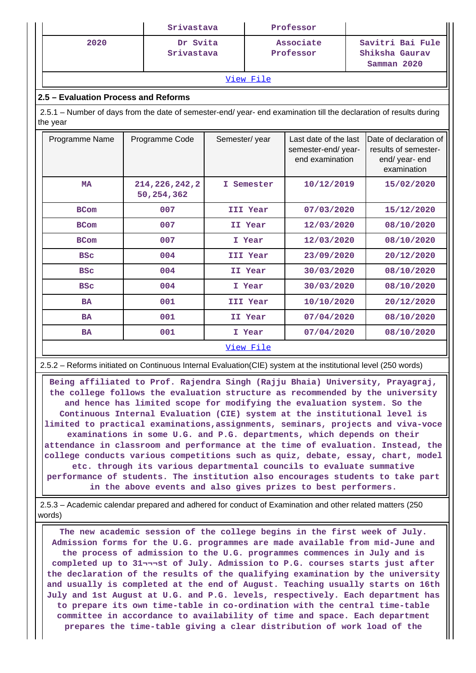|                                                                                                                                | Srivastava                                       |               | Professor       |                                                                |                                                                                 |  |  |  |  |
|--------------------------------------------------------------------------------------------------------------------------------|--------------------------------------------------|---------------|-----------------|----------------------------------------------------------------|---------------------------------------------------------------------------------|--|--|--|--|
| 2020                                                                                                                           | Dr Svita<br>Associate<br>Srivastava<br>Professor |               |                 | Savitri Bai Fule<br>Shiksha Gaurav<br>Samman 2020              |                                                                                 |  |  |  |  |
|                                                                                                                                |                                                  |               | View File       |                                                                |                                                                                 |  |  |  |  |
| 2.5 – Evaluation Process and Reforms                                                                                           |                                                  |               |                 |                                                                |                                                                                 |  |  |  |  |
| 2.5.1 – Number of days from the date of semester-end/ year- end examination till the declaration of results during<br>the year |                                                  |               |                 |                                                                |                                                                                 |  |  |  |  |
| Programme Name                                                                                                                 | Programme Code                                   | Semester/year |                 | Last date of the last<br>semester-end/year-<br>end examination | Date of declaration of<br>results of semester-<br>end/ year- end<br>examination |  |  |  |  |
| <b>MA</b>                                                                                                                      | 214, 226, 242, 2<br>50,254,362                   |               | I Semester      | 10/12/2019                                                     | 15/02/2020                                                                      |  |  |  |  |
| <b>BCom</b>                                                                                                                    | 007                                              |               | <b>III Year</b> | 07/03/2020                                                     | 15/12/2020                                                                      |  |  |  |  |
| <b>BCom</b>                                                                                                                    | 007                                              |               | II Year         | 12/03/2020                                                     | 08/10/2020                                                                      |  |  |  |  |
| <b>BCom</b>                                                                                                                    | 007                                              |               | I Year          | 12/03/2020                                                     | 08/10/2020                                                                      |  |  |  |  |
| <b>BSC</b>                                                                                                                     | 004                                              |               | III Year        | 23/09/2020                                                     | 20/12/2020                                                                      |  |  |  |  |
| <b>BSC</b>                                                                                                                     | 004                                              |               | II Year         | 30/03/2020                                                     | 08/10/2020                                                                      |  |  |  |  |
| <b>BSC</b>                                                                                                                     | 004                                              |               | I Year          | 30/03/2020                                                     | 08/10/2020                                                                      |  |  |  |  |
| <b>BA</b>                                                                                                                      | 001                                              |               | <b>III Year</b> | 10/10/2020                                                     | 20/12/2020                                                                      |  |  |  |  |
| <b>BA</b>                                                                                                                      | 001                                              |               | II Year         | 07/04/2020                                                     | 08/10/2020                                                                      |  |  |  |  |
| <b>BA</b>                                                                                                                      | 001                                              |               | I Year          | 07/04/2020                                                     | 08/10/2020                                                                      |  |  |  |  |

#### [View File](https://assessmentonline.naac.gov.in/public/Postacc/Evaluation/6983_Evaluation_1614186425.xlsx)

2.5.2 – Reforms initiated on Continuous Internal Evaluation(CIE) system at the institutional level (250 words)

 **Being affiliated to Prof. Rajendra Singh (Rajju Bhaia) University, Prayagraj, the college follows the evaluation structure as recommended by the university and hence has limited scope for modifying the evaluation system. So the Continuous Internal Evaluation (CIE) system at the institutional level is limited to practical examinations,assignments, seminars, projects and viva-voce examinations in some U.G. and P.G. departments, which depends on their attendance in classroom and performance at the time of evaluation. Instead, the college conducts various competitions such as quiz, debate, essay, chart, model etc. through its various departmental councils to evaluate summative performance of students. The institution also encourages students to take part in the above events and also gives prizes to best performers.**

 2.5.3 – Academic calendar prepared and adhered for conduct of Examination and other related matters (250 words)

 **The new academic session of the college begins in the first week of July. Admission forms for the U.G. programmes are made available from mid-June and the process of admission to the U.G. programmes commences in July and is completed up to 31¬¬¬st of July. Admission to P.G. courses starts just after the declaration of the results of the qualifying examination by the university and usually is completed at the end of August. Teaching usually starts on 16th July and 1st August at U.G. and P.G. levels, respectively. Each department has to prepare its own time-table in co-ordination with the central time-table committee in accordance to availability of time and space. Each department prepares the time-table giving a clear distribution of work load of the**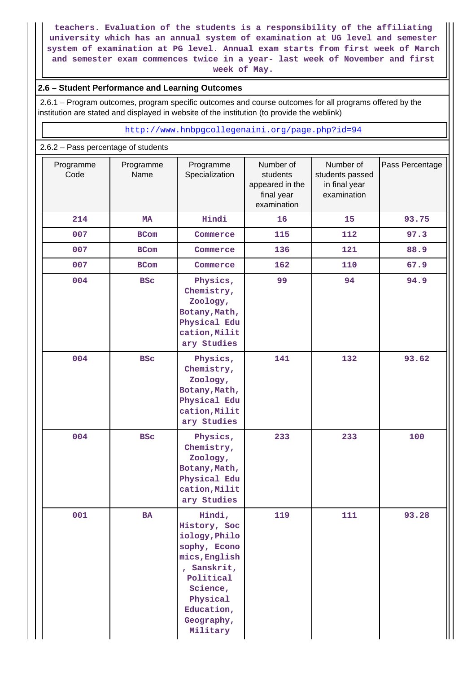**teachers. Evaluation of the students is a responsibility of the affiliating university which has an annual system of examination at UG level and semester system of examination at PG level. Annual exam starts from first week of March and semester exam commences twice in a year- last week of November and first week of May.**

### **2.6 – Student Performance and Learning Outcomes**

 2.6.1 – Program outcomes, program specific outcomes and course outcomes for all programs offered by the institution are stated and displayed in website of the institution (to provide the weblink)

<http://www.hnbpgcollegenaini.org/page.php?id=94>

#### 2.6.2 – Pass percentage of students

| Programme<br>Code | Programme<br>Name | Programme<br>Specialization                                                                                                                                          | Number of<br>students<br>appeared in the<br>final year<br>examination | Number of<br>students passed<br>in final year<br>examination | Pass Percentage |
|-------------------|-------------------|----------------------------------------------------------------------------------------------------------------------------------------------------------------------|-----------------------------------------------------------------------|--------------------------------------------------------------|-----------------|
| 214               | MA                | Hindi                                                                                                                                                                | 16                                                                    | 15                                                           | 93.75           |
| 007               | <b>BCom</b>       | Commerce                                                                                                                                                             | 115                                                                   | 112                                                          | 97.3            |
| 007               | <b>BCom</b>       | Commerce                                                                                                                                                             | 136                                                                   | 121                                                          | 88.9            |
| 007               | <b>BCom</b>       | Commerce                                                                                                                                                             | 162                                                                   | 110                                                          | 67.9            |
| 004               | <b>BSC</b>        | Physics,<br>Chemistry,<br>Zoology,<br>Botany, Math,<br>Physical Edu<br>cation, Milit<br>ary Studies                                                                  | 99                                                                    | 94                                                           | 94.9            |
| 004               | <b>BSC</b>        | Physics,<br>Chemistry,<br>Zoology,<br>Botany, Math,<br>Physical Edu<br>cation, Milit<br>ary Studies                                                                  | 141                                                                   | 132                                                          | 93.62           |
| 004               | <b>BSC</b>        | Physics,<br>Chemistry,<br>Zoology,<br>Botany, Math,<br>Physical Edu<br>cation, Milit<br>ary Studies                                                                  | 233                                                                   | 233                                                          | 100             |
| 001               | BA                | Hindi,<br>History, Soc<br>iology, Philo<br>sophy, Econo<br>mics, English<br>, Sanskrit,<br>Political<br>Science,<br>Physical<br>Education,<br>Geography,<br>Military | 119                                                                   | 111                                                          | 93.28           |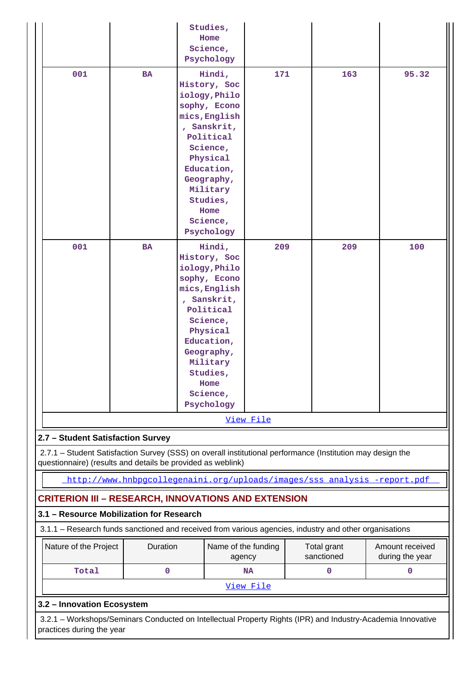|                                                                                                                                                                           |                                                                          |  | Studies,<br>Home<br>Science,<br>Psychology                                                                                                                                                                         |           |  |                           |                                    |  |  |
|---------------------------------------------------------------------------------------------------------------------------------------------------------------------------|--------------------------------------------------------------------------|--|--------------------------------------------------------------------------------------------------------------------------------------------------------------------------------------------------------------------|-----------|--|---------------------------|------------------------------------|--|--|
| 001                                                                                                                                                                       | <b>BA</b>                                                                |  | Hindi,<br>History, Soc<br>iology, Philo<br>sophy, Econo<br>mics, English<br>, Sanskrit,<br>Political<br>Science,<br>Physical<br>Education,<br>Geography,<br>Military<br>Studies,<br>Home<br>Science,<br>Psychology | 171       |  | 163                       | 95.32                              |  |  |
| 001                                                                                                                                                                       | BA                                                                       |  | Hindi,<br>History, Soc<br>iology, Philo<br>sophy, Econo<br>mics, English<br>, Sanskrit,<br>Political<br>Science,<br>Physical<br>Education,<br>Geography,<br>Military<br>Studies,<br>Home<br>Science,<br>Psychology | 209       |  | 209                       | 100                                |  |  |
|                                                                                                                                                                           |                                                                          |  |                                                                                                                                                                                                                    | View File |  |                           |                                    |  |  |
| 2.7 - Student Satisfaction Survey                                                                                                                                         |                                                                          |  |                                                                                                                                                                                                                    |           |  |                           |                                    |  |  |
| 2.7.1 - Student Satisfaction Survey (SSS) on overall institutional performance (Institution may design the<br>questionnaire) (results and details be provided as weblink) |                                                                          |  |                                                                                                                                                                                                                    |           |  |                           |                                    |  |  |
|                                                                                                                                                                           | http://www.hnbpgcollegenaini.org/uploads/images/sss_analysis_-report.pdf |  |                                                                                                                                                                                                                    |           |  |                           |                                    |  |  |
| <b>CRITERION III – RESEARCH, INNOVATIONS AND EXTENSION</b>                                                                                                                |                                                                          |  |                                                                                                                                                                                                                    |           |  |                           |                                    |  |  |
| 3.1 - Resource Mobilization for Research                                                                                                                                  |                                                                          |  |                                                                                                                                                                                                                    |           |  |                           |                                    |  |  |
| 3.1.1 - Research funds sanctioned and received from various agencies, industry and other organisations                                                                    |                                                                          |  |                                                                                                                                                                                                                    |           |  |                           |                                    |  |  |
| Nature of the Project                                                                                                                                                     | Duration                                                                 |  | Name of the funding<br>agency                                                                                                                                                                                      |           |  | Total grant<br>sanctioned | Amount received<br>during the year |  |  |
| Total                                                                                                                                                                     | $\mathbf 0$                                                              |  |                                                                                                                                                                                                                    | <b>NA</b> |  | 0                         | $\mathbf 0$                        |  |  |
| View File                                                                                                                                                                 |                                                                          |  |                                                                                                                                                                                                                    |           |  |                           |                                    |  |  |
| 3.2 - Innovation Ecosystem                                                                                                                                                |                                                                          |  |                                                                                                                                                                                                                    |           |  |                           |                                    |  |  |
| 3.2.1 - Workshops/Seminars Conducted on Intellectual Property Rights (IPR) and Industry-Academia Innovative<br>practices during the year                                  |                                                                          |  |                                                                                                                                                                                                                    |           |  |                           |                                    |  |  |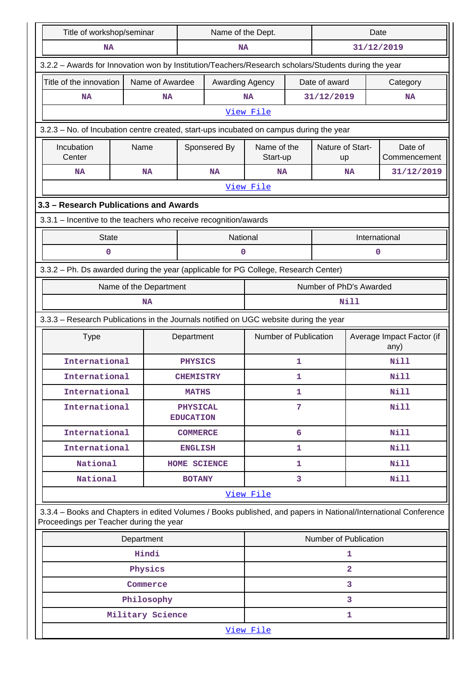| Title of workshop/seminar                                                                                                                                  |                                                                  | Name of the Dept.                   |                 |                       | Date             |                         |             |                                   |  |  |  |
|------------------------------------------------------------------------------------------------------------------------------------------------------------|------------------------------------------------------------------|-------------------------------------|-----------------|-----------------------|------------------|-------------------------|-------------|-----------------------------------|--|--|--|
| <b>NA</b>                                                                                                                                                  |                                                                  |                                     | NA              |                       |                  |                         |             | 31/12/2019                        |  |  |  |
| 3.2.2 - Awards for Innovation won by Institution/Teachers/Research scholars/Students during the year                                                       |                                                                  |                                     |                 |                       |                  |                         |             |                                   |  |  |  |
| Title of the innovation                                                                                                                                    | Name of Awardee                                                  |                                     | Awarding Agency |                       |                  | Date of award           |             | Category                          |  |  |  |
| <b>NA</b>                                                                                                                                                  | <b>NA</b>                                                        |                                     |                 | <b>NA</b>             |                  | 31/12/2019              |             | <b>NA</b>                         |  |  |  |
|                                                                                                                                                            |                                                                  |                                     |                 | View File             |                  |                         |             |                                   |  |  |  |
| 3.2.3 - No. of Incubation centre created, start-ups incubated on campus during the year                                                                    |                                                                  |                                     |                 |                       |                  |                         |             |                                   |  |  |  |
| Incubation                                                                                                                                                 | Name                                                             | Sponsered By<br>Name of the         |                 |                       | Nature of Start- |                         | Date of     |                                   |  |  |  |
| Center                                                                                                                                                     |                                                                  |                                     |                 | Start-up              |                  | up                      |             | Commencement                      |  |  |  |
| <b>NA</b>                                                                                                                                                  | <b>NA</b>                                                        |                                     | <b>NA</b>       | <b>NA</b>             |                  | <b>NA</b>               |             | 31/12/2019                        |  |  |  |
|                                                                                                                                                            |                                                                  |                                     |                 | View File             |                  |                         |             |                                   |  |  |  |
| 3.3 - Research Publications and Awards                                                                                                                     |                                                                  |                                     |                 |                       |                  |                         |             |                                   |  |  |  |
|                                                                                                                                                            | 3.3.1 - Incentive to the teachers who receive recognition/awards |                                     |                 |                       |                  |                         |             |                                   |  |  |  |
| <b>State</b>                                                                                                                                               |                                                                  |                                     | National        |                       |                  |                         |             | International                     |  |  |  |
| 0                                                                                                                                                          |                                                                  |                                     | 0               |                       |                  |                         | 0           |                                   |  |  |  |
| 3.3.2 - Ph. Ds awarded during the year (applicable for PG College, Research Center)                                                                        |                                                                  |                                     |                 |                       |                  |                         |             |                                   |  |  |  |
|                                                                                                                                                            | Name of the Department                                           |                                     |                 |                       |                  | Number of PhD's Awarded |             |                                   |  |  |  |
|                                                                                                                                                            | <b>NA</b>                                                        |                                     |                 |                       |                  | Nill                    |             |                                   |  |  |  |
| 3.3.3 - Research Publications in the Journals notified on UGC website during the year                                                                      |                                                                  |                                     |                 |                       |                  |                         |             |                                   |  |  |  |
| <b>Type</b>                                                                                                                                                |                                                                  | Department                          |                 | Number of Publication |                  |                         |             | Average Impact Factor (if<br>any) |  |  |  |
| International                                                                                                                                              |                                                                  | <b>PHYSICS</b>                      |                 |                       | 1                |                         |             | <b>Nill</b>                       |  |  |  |
| International                                                                                                                                              |                                                                  | <b>CHEMISTRY</b>                    |                 | 1                     |                  |                         |             | Nill                              |  |  |  |
| International                                                                                                                                              |                                                                  | <b>MATHS</b>                        |                 | $\mathbf{1}$          |                  |                         | <b>Nill</b> |                                   |  |  |  |
| International                                                                                                                                              |                                                                  | <b>PHYSICAL</b><br><b>EDUCATION</b> |                 | 7                     |                  |                         |             | <b>Nill</b>                       |  |  |  |
| International                                                                                                                                              |                                                                  | <b>COMMERCE</b>                     |                 | 6                     |                  |                         |             | Nill                              |  |  |  |
| International                                                                                                                                              |                                                                  | <b>ENGLISH</b>                      |                 |                       | 1                |                         |             | <b>Nill</b>                       |  |  |  |
| National                                                                                                                                                   |                                                                  | HOME SCIENCE                        |                 |                       | 1                |                         |             | <b>Nill</b>                       |  |  |  |
| National                                                                                                                                                   |                                                                  | <b>BOTANY</b>                       |                 |                       | 3                |                         |             | <b>Nill</b>                       |  |  |  |
|                                                                                                                                                            |                                                                  |                                     |                 | View File             |                  |                         |             |                                   |  |  |  |
| 3.3.4 - Books and Chapters in edited Volumes / Books published, and papers in National/International Conference<br>Proceedings per Teacher during the year |                                                                  |                                     |                 |                       |                  |                         |             |                                   |  |  |  |
|                                                                                                                                                            | Number of Publication<br>Department                              |                                     |                 |                       |                  |                         |             |                                   |  |  |  |
|                                                                                                                                                            | Hindi                                                            |                                     |                 |                       |                  | 1                       |             |                                   |  |  |  |
|                                                                                                                                                            | Physics                                                          |                                     |                 |                       |                  | $\overline{a}$          |             |                                   |  |  |  |
|                                                                                                                                                            | Commerce                                                         |                                     |                 |                       |                  | 3                       |             |                                   |  |  |  |
|                                                                                                                                                            | Philosophy                                                       |                                     |                 |                       |                  | 3                       |             |                                   |  |  |  |
|                                                                                                                                                            | Military Science                                                 |                                     |                 |                       |                  | 1                       |             |                                   |  |  |  |
|                                                                                                                                                            |                                                                  |                                     |                 | View File             |                  |                         |             |                                   |  |  |  |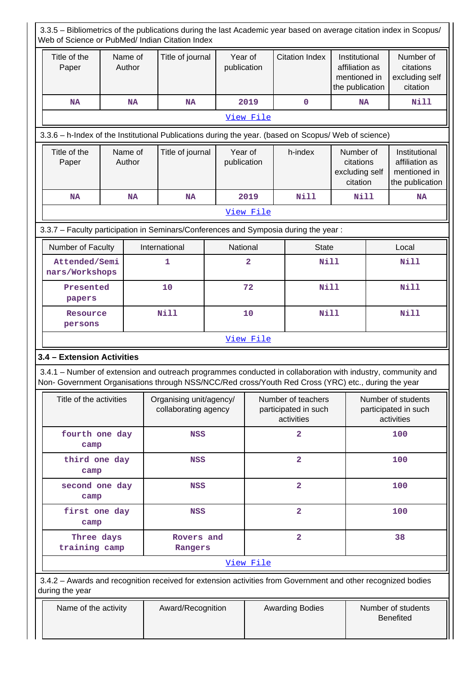| 3.3.5 - Bibliometrics of the publications during the last Academic year based on average citation index in Scopus/<br>Web of Science or PubMed/ Indian Citation Index                                              |                   |                                                 |                        |                                                          |                         |                                                                    |                                                          |                                                                    |  |  |
|--------------------------------------------------------------------------------------------------------------------------------------------------------------------------------------------------------------------|-------------------|-------------------------------------------------|------------------------|----------------------------------------------------------|-------------------------|--------------------------------------------------------------------|----------------------------------------------------------|--------------------------------------------------------------------|--|--|
| Title of the<br>Paper                                                                                                                                                                                              | Name of<br>Author | Title of journal                                | Year of<br>publication |                                                          | <b>Citation Index</b>   | Institutional<br>affiliation as<br>mentioned in<br>the publication |                                                          | Number of<br>citations<br>excluding self<br>citation               |  |  |
| <b>NA</b>                                                                                                                                                                                                          | <b>NA</b>         | <b>NA</b>                                       |                        | 2019                                                     | $\mathbf 0$             | <b>NA</b>                                                          |                                                          | <b>Nill</b>                                                        |  |  |
|                                                                                                                                                                                                                    |                   |                                                 |                        | View File                                                |                         |                                                                    |                                                          |                                                                    |  |  |
| 3.3.6 - h-Index of the Institutional Publications during the year. (based on Scopus/ Web of science)                                                                                                               |                   |                                                 |                        |                                                          |                         |                                                                    |                                                          |                                                                    |  |  |
| Title of the<br>Paper                                                                                                                                                                                              | Name of<br>Author | Title of journal                                | Year of<br>publication |                                                          | h-index                 | Number of<br>citations<br>excluding self<br>citation               |                                                          | Institutional<br>affiliation as<br>mentioned in<br>the publication |  |  |
| <b>NA</b>                                                                                                                                                                                                          | <b>NA</b>         | <b>NA</b>                                       |                        | 2019                                                     | <b>Nill</b>             | Nill                                                               |                                                          | <b>NA</b>                                                          |  |  |
|                                                                                                                                                                                                                    |                   |                                                 |                        | View File                                                |                         |                                                                    |                                                          |                                                                    |  |  |
| 3.3.7 - Faculty participation in Seminars/Conferences and Symposia during the year:                                                                                                                                |                   |                                                 |                        |                                                          |                         |                                                                    |                                                          |                                                                    |  |  |
| Number of Faculty                                                                                                                                                                                                  |                   | International                                   | National               |                                                          | <b>State</b>            |                                                                    |                                                          | Local                                                              |  |  |
| Attended/Semi<br>nars/Workshops                                                                                                                                                                                    |                   | 1                                               |                        | $\overline{a}$                                           | <b>Nill</b>             |                                                                    |                                                          | Nill                                                               |  |  |
| Presented<br>papers                                                                                                                                                                                                |                   | 10                                              |                        | 72                                                       |                         | <b>Nill</b>                                                        |                                                          | <b>Nill</b>                                                        |  |  |
| Resource<br>persons                                                                                                                                                                                                |                   | <b>Nill</b>                                     |                        | 10                                                       | <b>Nill</b>             |                                                                    |                                                          | <b>Nill</b>                                                        |  |  |
|                                                                                                                                                                                                                    |                   |                                                 |                        | View File                                                |                         |                                                                    |                                                          |                                                                    |  |  |
| 3.4 - Extension Activities                                                                                                                                                                                         |                   |                                                 |                        |                                                          |                         |                                                                    |                                                          |                                                                    |  |  |
| 3.4.1 – Number of extension and outreach programmes conducted in collaboration with industry, community and<br>Non- Government Organisations through NSS/NCC/Red cross/Youth Red Cross (YRC) etc., during the year |                   |                                                 |                        |                                                          |                         |                                                                    |                                                          |                                                                    |  |  |
| Title of the activities                                                                                                                                                                                            |                   | Organising unit/agency/<br>collaborating agency |                        | Number of teachers<br>participated in such<br>activities |                         |                                                                    | Number of students<br>participated in such<br>activities |                                                                    |  |  |
| fourth one day<br>camp                                                                                                                                                                                             |                   | <b>NSS</b>                                      |                        |                                                          | $\overline{a}$          |                                                                    |                                                          | 100                                                                |  |  |
| third one day<br>camp                                                                                                                                                                                              |                   | <b>NSS</b>                                      |                        |                                                          | $\overline{\mathbf{2}}$ |                                                                    |                                                          | 100                                                                |  |  |
| second one day<br>camp                                                                                                                                                                                             |                   | NSS                                             |                        |                                                          | $\overline{\mathbf{2}}$ |                                                                    |                                                          | 100                                                                |  |  |
| first one day<br>camp                                                                                                                                                                                              |                   | <b>NSS</b>                                      |                        |                                                          | $\overline{\mathbf{2}}$ |                                                                    |                                                          | 100                                                                |  |  |
| Three days<br>training camp                                                                                                                                                                                        |                   | Rovers and<br>Rangers                           |                        |                                                          | $\overline{\mathbf{2}}$ |                                                                    |                                                          | 38                                                                 |  |  |
|                                                                                                                                                                                                                    |                   |                                                 |                        | View File                                                |                         |                                                                    |                                                          |                                                                    |  |  |
| 3.4.2 - Awards and recognition received for extension activities from Government and other recognized bodies<br>during the year                                                                                    |                   |                                                 |                        |                                                          |                         |                                                                    |                                                          |                                                                    |  |  |
| Name of the activity                                                                                                                                                                                               |                   | Award/Recognition                               |                        |                                                          | <b>Awarding Bodies</b>  |                                                                    |                                                          | Number of students<br><b>Benefited</b>                             |  |  |

 $\perp$  $\mathbf l$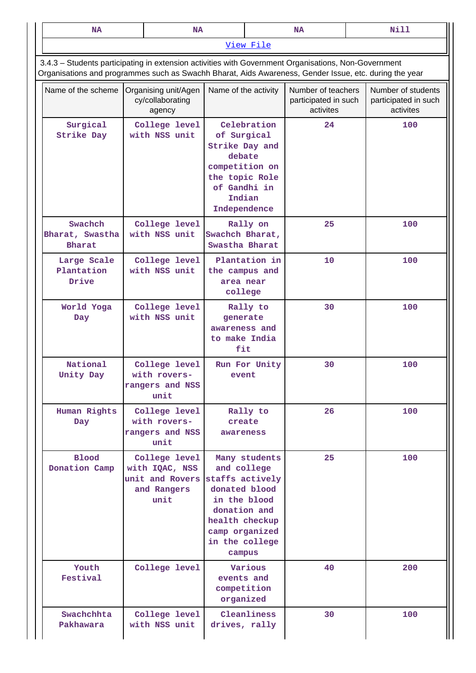| <b>NA</b>                                                                                                                                                                                                      | <b>NA</b>                                                                 |                                                                                                                                                 | Nill<br><b>NA</b>                                             |                                                         |  |                                                         |  |  |
|----------------------------------------------------------------------------------------------------------------------------------------------------------------------------------------------------------------|---------------------------------------------------------------------------|-------------------------------------------------------------------------------------------------------------------------------------------------|---------------------------------------------------------------|---------------------------------------------------------|--|---------------------------------------------------------|--|--|
|                                                                                                                                                                                                                |                                                                           |                                                                                                                                                 | View File                                                     |                                                         |  |                                                         |  |  |
| 3.4.3 - Students participating in extension activities with Government Organisations, Non-Government<br>Organisations and programmes such as Swachh Bharat, Aids Awareness, Gender Issue, etc. during the year |                                                                           |                                                                                                                                                 |                                                               |                                                         |  |                                                         |  |  |
| Name of the scheme                                                                                                                                                                                             | Organising unit/Agen<br>cy/collaborating<br>agency                        | Name of the activity                                                                                                                            |                                                               | Number of teachers<br>participated in such<br>activites |  | Number of students<br>participated in such<br>activites |  |  |
| Surgical<br><b>Strike Day</b>                                                                                                                                                                                  | College level<br>with NSS unit                                            | of Surgical<br>Strike Day and<br>debate<br>competition on<br>the topic Role<br>of Gandhi in<br>Indian<br>Independence                           | Celebration                                                   | 24                                                      |  | 100                                                     |  |  |
| Swachch<br>Bharat, Swastha<br><b>Bharat</b>                                                                                                                                                                    | College level<br>with NSS unit                                            | Swachch Bharat,<br>Swastha Bharat                                                                                                               | Rally on                                                      | 25                                                      |  | 100                                                     |  |  |
| Large Scale<br>Plantation<br>Drive                                                                                                                                                                             | College level<br>with NSS unit                                            | the campus and<br>area near<br>college                                                                                                          | Plantation in                                                 | 10                                                      |  | 100                                                     |  |  |
| World Yoga<br>Day                                                                                                                                                                                              | College level<br>with NSS unit                                            |                                                                                                                                                 | Rally to<br>generate<br>awareness and<br>to make India<br>fit | 30                                                      |  | 100                                                     |  |  |
| National<br>Unity Day                                                                                                                                                                                          | College level<br>with rovers-<br>rangers and NSS<br>unit                  | event                                                                                                                                           | Run For Unity                                                 | 30                                                      |  | 100                                                     |  |  |
| Human Rights<br>Day                                                                                                                                                                                            | College level<br>with rovers-<br>rangers and NSS<br>unit                  | create<br>awareness                                                                                                                             | Rally to                                                      | 26                                                      |  | 100                                                     |  |  |
| <b>Blood</b><br>Donation Camp                                                                                                                                                                                  | College level<br>with IQAC, NSS<br>unit and Rovers<br>and Rangers<br>unit | and college<br>staffs actively<br>donated blood<br>in the blood<br>donation and<br>health checkup<br>camp organized<br>in the college<br>campus | Many students                                                 | 25                                                      |  | 100                                                     |  |  |
| Youth<br>Festival                                                                                                                                                                                              | College level                                                             | Various<br>events and<br>competition<br>organized                                                                                               |                                                               | 40                                                      |  | 200                                                     |  |  |
| Swachchhta<br>Pakhawara                                                                                                                                                                                        | College level<br>with NSS unit                                            | drives, rally                                                                                                                                   | Cleanliness                                                   | 30                                                      |  | 100                                                     |  |  |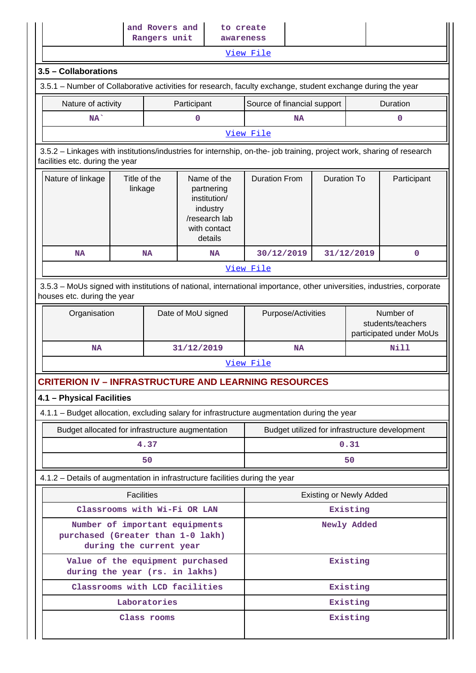|                                                                                                                                                          |                                                                    | and Rovers and<br>Rangers unit |                                                                                                   | to create<br>awareness                         |                    |                    |                                                           |             |  |
|----------------------------------------------------------------------------------------------------------------------------------------------------------|--------------------------------------------------------------------|--------------------------------|---------------------------------------------------------------------------------------------------|------------------------------------------------|--------------------|--------------------|-----------------------------------------------------------|-------------|--|
|                                                                                                                                                          |                                                                    |                                |                                                                                                   | View File                                      |                    |                    |                                                           |             |  |
| 3.5 - Collaborations                                                                                                                                     |                                                                    |                                |                                                                                                   |                                                |                    |                    |                                                           |             |  |
| 3.5.1 – Number of Collaborative activities for research, faculty exchange, student exchange during the year                                              |                                                                    |                                |                                                                                                   |                                                |                    |                    |                                                           |             |  |
| Nature of activity                                                                                                                                       |                                                                    |                                | Participant                                                                                       | Source of financial support                    |                    |                    |                                                           | Duration    |  |
| $NA^{\dagger}$                                                                                                                                           |                                                                    |                                | 0                                                                                                 |                                                | <b>NA</b>          |                    |                                                           | 0           |  |
|                                                                                                                                                          |                                                                    |                                |                                                                                                   | View File                                      |                    |                    |                                                           |             |  |
| 3.5.2 - Linkages with institutions/industries for internship, on-the- job training, project work, sharing of research<br>facilities etc. during the year |                                                                    |                                |                                                                                                   |                                                |                    |                    |                                                           |             |  |
| Nature of linkage                                                                                                                                        | Title of the<br>linkage                                            |                                | Name of the<br>partnering<br>institution/<br>industry<br>/research lab<br>with contact<br>details | <b>Duration From</b>                           |                    | <b>Duration To</b> |                                                           | Participant |  |
| <b>NA</b>                                                                                                                                                |                                                                    | <b>NA</b>                      | <b>NA</b>                                                                                         | 30/12/2019                                     |                    |                    | 31/12/2019                                                | $\mathbf 0$ |  |
|                                                                                                                                                          |                                                                    |                                |                                                                                                   | View File                                      |                    |                    |                                                           |             |  |
| 3.5.3 - MoUs signed with institutions of national, international importance, other universities, industries, corporate<br>houses etc. during the year    |                                                                    |                                |                                                                                                   |                                                |                    |                    |                                                           |             |  |
|                                                                                                                                                          | Organisation<br>Date of MoU signed                                 |                                |                                                                                                   |                                                | Purpose/Activities |                    | Number of<br>students/teachers<br>participated under MoUs |             |  |
| <b>NA</b>                                                                                                                                                |                                                                    |                                | 31/12/2019                                                                                        | <b>NA</b>                                      |                    |                    |                                                           | Nill        |  |
|                                                                                                                                                          |                                                                    |                                |                                                                                                   | View File                                      |                    |                    |                                                           |             |  |
| <b>CRITERION IV - INFRASTRUCTURE AND LEARNING RESOURCES</b>                                                                                              |                                                                    |                                |                                                                                                   |                                                |                    |                    |                                                           |             |  |
| 4.1 - Physical Facilities                                                                                                                                |                                                                    |                                |                                                                                                   |                                                |                    |                    |                                                           |             |  |
| 4.1.1 - Budget allocation, excluding salary for infrastructure augmentation during the year                                                              |                                                                    |                                |                                                                                                   |                                                |                    |                    |                                                           |             |  |
| Budget allocated for infrastructure augmentation                                                                                                         |                                                                    |                                |                                                                                                   | Budget utilized for infrastructure development |                    |                    |                                                           |             |  |
|                                                                                                                                                          |                                                                    | 4.37                           |                                                                                                   | 0.31                                           |                    |                    |                                                           |             |  |
|                                                                                                                                                          |                                                                    | 50                             |                                                                                                   |                                                |                    |                    | 50                                                        |             |  |
| 4.1.2 - Details of augmentation in infrastructure facilities during the year                                                                             |                                                                    |                                |                                                                                                   |                                                |                    |                    |                                                           |             |  |
|                                                                                                                                                          | <b>Facilities</b>                                                  |                                |                                                                                                   |                                                |                    |                    | <b>Existing or Newly Added</b>                            |             |  |
|                                                                                                                                                          |                                                                    |                                | Classrooms with Wi-Fi OR LAN                                                                      |                                                |                    |                    | Existing                                                  |             |  |
| Number of important equipments<br>purchased (Greater than 1-0 lakh)<br>during the current year                                                           |                                                                    |                                |                                                                                                   |                                                |                    |                    | Newly Added                                               |             |  |
|                                                                                                                                                          | Value of the equipment purchased<br>during the year (rs. in lakhs) |                                |                                                                                                   |                                                |                    |                    | Existing                                                  |             |  |
| Classrooms with LCD facilities                                                                                                                           | Existing                                                           |                                |                                                                                                   |                                                |                    |                    |                                                           |             |  |
|                                                                                                                                                          |                                                                    | Laboratories                   |                                                                                                   |                                                |                    |                    | Existing                                                  |             |  |
|                                                                                                                                                          |                                                                    | Class rooms                    |                                                                                                   |                                                |                    |                    | Existing                                                  |             |  |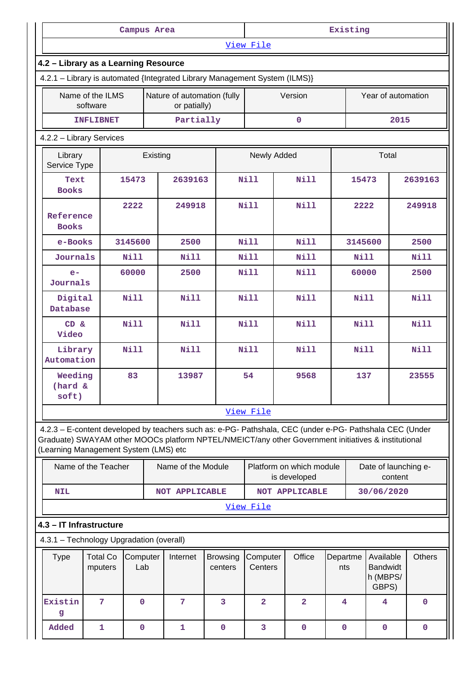|                                                                                                                                                                                                                                                         |                                     | Campus Area |  |                                             |                     | Existing                |             |                                          |             |                                                   |                      |               |             |
|---------------------------------------------------------------------------------------------------------------------------------------------------------------------------------------------------------------------------------------------------------|-------------------------------------|-------------|--|---------------------------------------------|---------------------|-------------------------|-------------|------------------------------------------|-------------|---------------------------------------------------|----------------------|---------------|-------------|
|                                                                                                                                                                                                                                                         |                                     |             |  |                                             |                     | View File               |             |                                          |             |                                                   |                      |               |             |
| 4.2 - Library as a Learning Resource                                                                                                                                                                                                                    |                                     |             |  |                                             |                     |                         |             |                                          |             |                                                   |                      |               |             |
| 4.2.1 - Library is automated {Integrated Library Management System (ILMS)}                                                                                                                                                                              |                                     |             |  |                                             |                     |                         |             |                                          |             |                                                   |                      |               |             |
|                                                                                                                                                                                                                                                         | Name of the ILMS<br>software        |             |  | Nature of automation (fully<br>or patially) |                     |                         |             | Version                                  |             |                                                   | Year of automation   |               |             |
|                                                                                                                                                                                                                                                         | <b>INFLIBNET</b>                    |             |  | Partially                                   |                     |                         |             | $\mathbf 0$                              |             |                                                   |                      | 2015          |             |
| 4.2.2 - Library Services                                                                                                                                                                                                                                |                                     |             |  |                                             |                     |                         |             |                                          |             |                                                   |                      |               |             |
|                                                                                                                                                                                                                                                         | Library<br>Existing<br>Service Type |             |  |                                             |                     | Newly Added             |             |                                          |             |                                                   | Total                |               |             |
|                                                                                                                                                                                                                                                         | 15473<br>Text<br><b>Books</b>       |             |  | 2639163                                     |                     | Nill                    |             | <b>Nill</b>                              |             | 15473                                             |                      |               | 2639163     |
|                                                                                                                                                                                                                                                         | 2222<br>Reference<br><b>Books</b>   |             |  | 249918                                      |                     | <b>Nill</b>             |             | <b>Nill</b>                              |             | 2222                                              |                      |               | 249918      |
| e-Books                                                                                                                                                                                                                                                 |                                     | 3145600     |  | 2500                                        |                     | <b>Nill</b>             |             | Nill                                     |             | 3145600                                           |                      |               | 2500        |
| Journals                                                                                                                                                                                                                                                |                                     | Nill        |  | <b>Nill</b>                                 |                     | Nill                    |             | Nill                                     |             | <b>Nill</b>                                       |                      |               | <b>Nill</b> |
| 60000<br>$e-$<br>Journals                                                                                                                                                                                                                               |                                     |             |  | 2500                                        |                     | Nill                    |             | <b>Nill</b>                              |             | 60000                                             |                      |               | 2500        |
|                                                                                                                                                                                                                                                         | Digital<br>Nill<br>Database         |             |  |                                             | <b>Nill</b><br>Nill |                         | Nill        |                                          |             | <b>Nill</b>                                       |                      |               | <b>Nill</b> |
|                                                                                                                                                                                                                                                         | <b>Nill</b><br>CD &<br>Video        |             |  | <b>Nill</b>                                 |                     | <b>Nill</b>             | <b>Nill</b> |                                          |             | <b>Nill</b>                                       |                      |               | <b>Nill</b> |
| Library<br>Automation                                                                                                                                                                                                                                   |                                     | <b>Nill</b> |  | <b>Nill</b>                                 |                     | <b>Nill</b>             |             | <b>Nill</b>                              |             | <b>Nill</b>                                       |                      |               | Nill        |
| Weeding<br>$(hard \&$<br>soft)                                                                                                                                                                                                                          |                                     | 83          |  | 13987                                       |                     | 54                      |             | 9568                                     |             | 137                                               |                      |               | 23555       |
|                                                                                                                                                                                                                                                         |                                     |             |  |                                             |                     | View File               |             |                                          |             |                                                   |                      |               |             |
| 4.2.3 - E-content developed by teachers such as: e-PG- Pathshala, CEC (under e-PG- Pathshala CEC (Under<br>Graduate) SWAYAM other MOOCs platform NPTEL/NMEICT/any other Government initiatives & institutional<br>(Learning Management System (LMS) etc |                                     |             |  |                                             |                     |                         |             |                                          |             |                                                   |                      |               |             |
|                                                                                                                                                                                                                                                         | Name of the Teacher                 |             |  | Name of the Module                          |                     |                         |             | Platform on which module<br>is developed |             |                                                   | Date of launching e- | content       |             |
| <b>NIL</b>                                                                                                                                                                                                                                              |                                     |             |  | <b>NOT APPLICABLE</b>                       |                     |                         |             | <b>NOT APPLICABLE</b>                    |             |                                                   | 30/06/2020           |               |             |
|                                                                                                                                                                                                                                                         |                                     |             |  |                                             |                     | View File               |             |                                          |             |                                                   |                      |               |             |
| 4.3 - IT Infrastructure                                                                                                                                                                                                                                 |                                     |             |  |                                             |                     |                         |             |                                          |             |                                                   |                      |               |             |
| 4.3.1 - Technology Upgradation (overall)                                                                                                                                                                                                                |                                     |             |  |                                             |                     |                         |             |                                          |             |                                                   |                      |               |             |
| <b>Total Co</b><br><b>Type</b><br>Computer<br>Internet<br>Lab<br>mputers                                                                                                                                                                                |                                     |             |  | <b>Browsing</b><br>centers                  | Computer<br>Centers |                         | Office      | Departme<br>nts                          |             | Available<br><b>Bandwidt</b><br>h (MBPS/<br>GBPS) |                      | <b>Others</b> |             |
| Existin<br>g                                                                                                                                                                                                                                            | 7                                   | $\mathbf 0$ |  | 7                                           | 3                   | $\overline{\mathbf{2}}$ |             | $\overline{2}$                           | 4           |                                                   | 4                    |               | $\mathbf 0$ |
| Added                                                                                                                                                                                                                                                   | $\mathbf{1}$                        | $\mathbf 0$ |  | $\mathbf{1}$                                | $\mathbf 0$         | 3                       |             | $\mathbf 0$                              | $\mathbf 0$ |                                                   | $\mathbf 0$          |               | $\mathbf 0$ |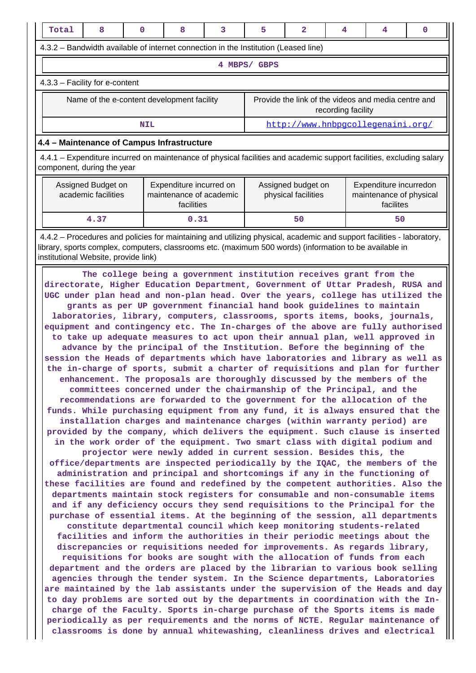| Total<br>8                                                                                                                                                                                                                                                                                                                                                                                                                                                                                                                                                                                                                                                                                                                                                                                                                                                                                                                                                                                                                                                                                                                                                                                                                                                                                                                                                                                                                                                                                                                                                                                                                                                                                                                                                                                                                                                                                                                                                                                                                                                                                                                                                                                                                                                                                                                                                                                                                                                                                                                                                                                                                                                                                                                                                                                                                                                                                                   | $\mathbf{0}$                                                                                                                                                                    | 8 | 3 | 5            | $\overline{a}$ | 4                  | 4                                                   | 0 |  |  |
|--------------------------------------------------------------------------------------------------------------------------------------------------------------------------------------------------------------------------------------------------------------------------------------------------------------------------------------------------------------------------------------------------------------------------------------------------------------------------------------------------------------------------------------------------------------------------------------------------------------------------------------------------------------------------------------------------------------------------------------------------------------------------------------------------------------------------------------------------------------------------------------------------------------------------------------------------------------------------------------------------------------------------------------------------------------------------------------------------------------------------------------------------------------------------------------------------------------------------------------------------------------------------------------------------------------------------------------------------------------------------------------------------------------------------------------------------------------------------------------------------------------------------------------------------------------------------------------------------------------------------------------------------------------------------------------------------------------------------------------------------------------------------------------------------------------------------------------------------------------------------------------------------------------------------------------------------------------------------------------------------------------------------------------------------------------------------------------------------------------------------------------------------------------------------------------------------------------------------------------------------------------------------------------------------------------------------------------------------------------------------------------------------------------------------------------------------------------------------------------------------------------------------------------------------------------------------------------------------------------------------------------------------------------------------------------------------------------------------------------------------------------------------------------------------------------------------------------------------------------------------------------------------------------|---------------------------------------------------------------------------------------------------------------------------------------------------------------------------------|---|---|--------------|----------------|--------------------|-----------------------------------------------------|---|--|--|
| 4.3.2 – Bandwidth available of internet connection in the Institution (Leased line)                                                                                                                                                                                                                                                                                                                                                                                                                                                                                                                                                                                                                                                                                                                                                                                                                                                                                                                                                                                                                                                                                                                                                                                                                                                                                                                                                                                                                                                                                                                                                                                                                                                                                                                                                                                                                                                                                                                                                                                                                                                                                                                                                                                                                                                                                                                                                                                                                                                                                                                                                                                                                                                                                                                                                                                                                          |                                                                                                                                                                                 |   |   |              |                |                    |                                                     |   |  |  |
|                                                                                                                                                                                                                                                                                                                                                                                                                                                                                                                                                                                                                                                                                                                                                                                                                                                                                                                                                                                                                                                                                                                                                                                                                                                                                                                                                                                                                                                                                                                                                                                                                                                                                                                                                                                                                                                                                                                                                                                                                                                                                                                                                                                                                                                                                                                                                                                                                                                                                                                                                                                                                                                                                                                                                                                                                                                                                                              |                                                                                                                                                                                 |   |   | 4 MBPS/ GBPS |                |                    |                                                     |   |  |  |
| 4.3.3 - Facility for e-content                                                                                                                                                                                                                                                                                                                                                                                                                                                                                                                                                                                                                                                                                                                                                                                                                                                                                                                                                                                                                                                                                                                                                                                                                                                                                                                                                                                                                                                                                                                                                                                                                                                                                                                                                                                                                                                                                                                                                                                                                                                                                                                                                                                                                                                                                                                                                                                                                                                                                                                                                                                                                                                                                                                                                                                                                                                                               |                                                                                                                                                                                 |   |   |              |                |                    |                                                     |   |  |  |
| Name of the e-content development facility                                                                                                                                                                                                                                                                                                                                                                                                                                                                                                                                                                                                                                                                                                                                                                                                                                                                                                                                                                                                                                                                                                                                                                                                                                                                                                                                                                                                                                                                                                                                                                                                                                                                                                                                                                                                                                                                                                                                                                                                                                                                                                                                                                                                                                                                                                                                                                                                                                                                                                                                                                                                                                                                                                                                                                                                                                                                   |                                                                                                                                                                                 |   |   |              |                | recording facility | Provide the link of the videos and media centre and |   |  |  |
|                                                                                                                                                                                                                                                                                                                                                                                                                                                                                                                                                                                                                                                                                                                                                                                                                                                                                                                                                                                                                                                                                                                                                                                                                                                                                                                                                                                                                                                                                                                                                                                                                                                                                                                                                                                                                                                                                                                                                                                                                                                                                                                                                                                                                                                                                                                                                                                                                                                                                                                                                                                                                                                                                                                                                                                                                                                                                                              | <b>NIL</b>                                                                                                                                                                      |   |   |              |                |                    | http://www.hnbpgcollegenaini.org/                   |   |  |  |
| 4.4 - Maintenance of Campus Infrastructure                                                                                                                                                                                                                                                                                                                                                                                                                                                                                                                                                                                                                                                                                                                                                                                                                                                                                                                                                                                                                                                                                                                                                                                                                                                                                                                                                                                                                                                                                                                                                                                                                                                                                                                                                                                                                                                                                                                                                                                                                                                                                                                                                                                                                                                                                                                                                                                                                                                                                                                                                                                                                                                                                                                                                                                                                                                                   |                                                                                                                                                                                 |   |   |              |                |                    |                                                     |   |  |  |
| 4.4.1 – Expenditure incurred on maintenance of physical facilities and academic support facilities, excluding salary<br>component, during the year                                                                                                                                                                                                                                                                                                                                                                                                                                                                                                                                                                                                                                                                                                                                                                                                                                                                                                                                                                                                                                                                                                                                                                                                                                                                                                                                                                                                                                                                                                                                                                                                                                                                                                                                                                                                                                                                                                                                                                                                                                                                                                                                                                                                                                                                                                                                                                                                                                                                                                                                                                                                                                                                                                                                                           |                                                                                                                                                                                 |   |   |              |                |                    |                                                     |   |  |  |
| Assigned Budget on<br>academic facilities                                                                                                                                                                                                                                                                                                                                                                                                                                                                                                                                                                                                                                                                                                                                                                                                                                                                                                                                                                                                                                                                                                                                                                                                                                                                                                                                                                                                                                                                                                                                                                                                                                                                                                                                                                                                                                                                                                                                                                                                                                                                                                                                                                                                                                                                                                                                                                                                                                                                                                                                                                                                                                                                                                                                                                                                                                                                    | Expenditure incurred on<br>Assigned budget on<br>Expenditure incurredon<br>maintenance of academic<br>maintenance of physical<br>physical facilities<br>facilities<br>facilites |   |   |              |                |                    |                                                     |   |  |  |
| 4.37                                                                                                                                                                                                                                                                                                                                                                                                                                                                                                                                                                                                                                                                                                                                                                                                                                                                                                                                                                                                                                                                                                                                                                                                                                                                                                                                                                                                                                                                                                                                                                                                                                                                                                                                                                                                                                                                                                                                                                                                                                                                                                                                                                                                                                                                                                                                                                                                                                                                                                                                                                                                                                                                                                                                                                                                                                                                                                         |                                                                                                                                                                                 |   |   |              | 50             |                    | 50                                                  |   |  |  |
|                                                                                                                                                                                                                                                                                                                                                                                                                                                                                                                                                                                                                                                                                                                                                                                                                                                                                                                                                                                                                                                                                                                                                                                                                                                                                                                                                                                                                                                                                                                                                                                                                                                                                                                                                                                                                                                                                                                                                                                                                                                                                                                                                                                                                                                                                                                                                                                                                                                                                                                                                                                                                                                                                                                                                                                                                                                                                                              |                                                                                                                                                                                 |   |   |              |                |                    |                                                     |   |  |  |
| 0.31<br>4.4.2 – Procedures and policies for maintaining and utilizing physical, academic and support facilities - laboratory,<br>library, sports complex, computers, classrooms etc. (maximum 500 words) (information to be available in<br>institutional Website, provide link)<br>The college being a government institution receives grant from the<br>directorate, Higher Education Department, Government of Uttar Pradesh, RUSA and<br>UGC under plan head and non-plan head. Over the years, college has utilized the<br>grants as per UP government financial hand book guidelines to maintain<br>laboratories, library, computers, classrooms, sports items, books, journals,<br>equipment and contingency etc. The In-charges of the above are fully authorised<br>to take up adequate measures to act upon their annual plan, well approved in<br>advance by the principal of the Institution. Before the beginning of the<br>session the Heads of departments which have laboratories and library as well as<br>the in-charge of sports, submit a charter of requisitions and plan for further<br>enhancement. The proposals are thoroughly discussed by the members of the<br>committees concerned under the chairmanship of the Principal, and the<br>recommendations are forwarded to the government for the allocation of the<br>funds. While purchasing equipment from any fund, it is always ensured that the<br>installation charges and maintenance charges (within warranty period) are<br>provided by the company, which delivers the equipment. Such clause is inserted<br>in the work order of the equipment. Two smart class with digital podium and<br>projector were newly added in current session. Besides this, the<br>office/departments are inspected periodically by the IQAC, the members of the<br>administration and principal and shortcomings if any in the functioning of<br>these facilities are found and redefined by the competent authorities. Also the<br>departments maintain stock registers for consumable and non-consumable items<br>and if any deficiency occurs they send requisitions to the Principal for the<br>purchase of essential items. At the beginning of the session, all departments<br>constitute departmental council which keep monitoring students-related<br>facilities and inform the authorities in their periodic meetings about the<br>discrepancies or requisitions needed for improvements. As regards library,<br>requisitions for books are sought with the allocation of funds from each<br>department and the orders are placed by the librarian to various book selling<br>agencies through the tender system. In the Science departments, Laboratories<br>are maintained by the lab assistants under the supervision of the Heads and day<br>to day problems are sorted out by the departments in coordination with the In- |                                                                                                                                                                                 |   |   |              |                |                    |                                                     |   |  |  |

**charge of the Faculty. Sports in-charge purchase of the Sports items is made periodically as per requirements and the norms of NCTE. Regular maintenance of classrooms is done by annual whitewashing, cleanliness drives and electrical**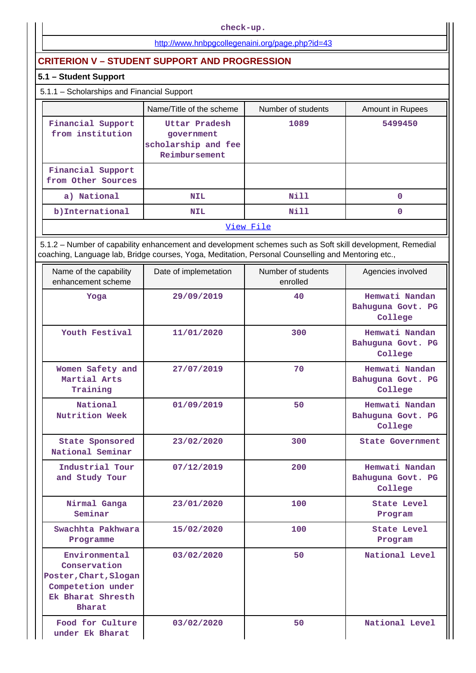**check-up.**

## <http://www.hnbpgcollegenaini.org/page.php?id=43>

## **CRITERION V – STUDENT SUPPORT AND PROGRESSION**

## **5.1 – Student Support**

## 5.1.1 – Scholarships and Financial Support

|                                         | Name/Title of the scheme                                            | Number of students | <b>Amount in Rupees</b> |  |  |
|-----------------------------------------|---------------------------------------------------------------------|--------------------|-------------------------|--|--|
| Financial Support<br>from institution   | Uttar Pradesh<br>government<br>scholarship and fee<br>Reimbursement | 1089               | 5499450                 |  |  |
| Financial Support<br>from Other Sources |                                                                     |                    |                         |  |  |
| a) National                             | <b>NIL</b>                                                          | Nill               | 0                       |  |  |
| b)International                         | <b>NIL</b>                                                          | Nill               | 0                       |  |  |
|                                         |                                                                     | View File          |                         |  |  |

 5.1.2 – Number of capability enhancement and development schemes such as Soft skill development, Remedial coaching, Language lab, Bridge courses, Yoga, Meditation, Personal Counselling and Mentoring etc.,

| Name of the capability<br>enhancement scheme                                                               | Date of implemetation | Number of students<br>enrolled | Agencies involved                              |
|------------------------------------------------------------------------------------------------------------|-----------------------|--------------------------------|------------------------------------------------|
| Yoga                                                                                                       | 29/09/2019            | 40                             | Hemwati Nandan<br>Bahuguna Govt. PG<br>College |
| Youth Festival                                                                                             | 11/01/2020            | 300                            | Hemwati Nandan<br>Bahuguna Govt. PG<br>College |
| Women Safety and<br>Martial Arts<br>Training                                                               | 27/07/2019            | 70                             | Hemwati Nandan<br>Bahuguna Govt. PG<br>College |
| National<br>Nutrition Week                                                                                 | 01/09/2019            | 50                             | Hemwati Nandan<br>Bahuguna Govt. PG<br>College |
| <b>State Sponsored</b><br>National Seminar                                                                 | 23/02/2020            | 300                            | <b>State Government</b>                        |
| Industrial Tour<br>and Study Tour                                                                          | 07/12/2019            | 200                            | Hemwati Nandan<br>Bahuguna Govt. PG<br>College |
| Nirmal Ganga<br>Seminar                                                                                    | 23/01/2020            | 100                            | State Level<br>Program                         |
| Swachhta Pakhwara<br>Programme                                                                             | 15/02/2020            | 100                            | State Level<br>Program                         |
| Environmental<br>Conservation<br>Poster, Chart, Slogan<br>Competetion under<br>Ek Bharat Shresth<br>Bharat | 03/02/2020            | 50                             | National Level                                 |
| Food for Culture<br>under Ek Bharat                                                                        | 03/02/2020            | 50                             | National Level                                 |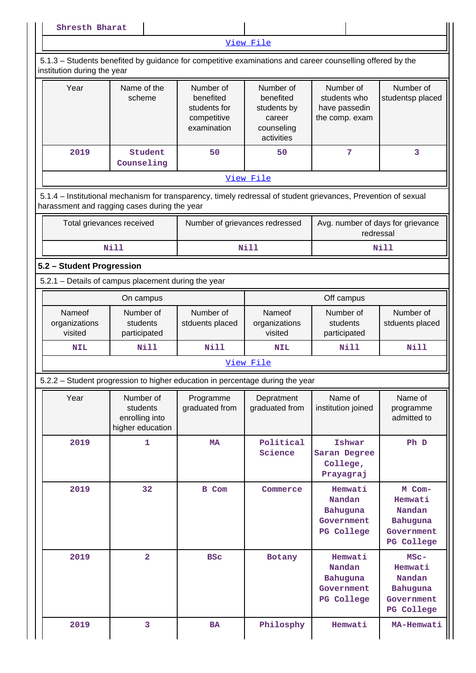| Shresth Bharat                                                                                                                                                 |                                                             |                                                                      |                                                                             |                                                              |                                                                      |  |
|----------------------------------------------------------------------------------------------------------------------------------------------------------------|-------------------------------------------------------------|----------------------------------------------------------------------|-----------------------------------------------------------------------------|--------------------------------------------------------------|----------------------------------------------------------------------|--|
|                                                                                                                                                                |                                                             |                                                                      | View File                                                                   |                                                              |                                                                      |  |
| 5.1.3 – Students benefited by guidance for competitive examinations and career counselling offered by the<br>institution during the year                       |                                                             |                                                                      |                                                                             |                                                              |                                                                      |  |
| Year                                                                                                                                                           | Name of the<br>scheme                                       | Number of<br>benefited<br>students for<br>competitive<br>examination | Number of<br>benefited<br>students by<br>career<br>counseling<br>activities | Number of<br>students who<br>have passedin<br>the comp. exam | Number of<br>studentsp placed                                        |  |
| 2019                                                                                                                                                           | Student<br>Counseling                                       | 50                                                                   | 50                                                                          | 7                                                            | 3                                                                    |  |
|                                                                                                                                                                |                                                             |                                                                      | View File                                                                   |                                                              |                                                                      |  |
| 5.1.4 - Institutional mechanism for transparency, timely redressal of student grievances, Prevention of sexual<br>harassment and ragging cases during the year |                                                             |                                                                      |                                                                             |                                                              |                                                                      |  |
| Total grievances received                                                                                                                                      |                                                             | Number of grievances redressed                                       |                                                                             | Avg. number of days for grievance<br>redressal               |                                                                      |  |
|                                                                                                                                                                | <b>Nill</b>                                                 |                                                                      | <b>Nill</b>                                                                 |                                                              | Nill                                                                 |  |
| 5.2 - Student Progression                                                                                                                                      |                                                             |                                                                      |                                                                             |                                                              |                                                                      |  |
| 5.2.1 - Details of campus placement during the year                                                                                                            |                                                             |                                                                      |                                                                             |                                                              |                                                                      |  |
|                                                                                                                                                                | On campus                                                   |                                                                      |                                                                             | Off campus                                                   |                                                                      |  |
| Nameof<br>organizations<br>visited                                                                                                                             | Number of<br>students<br>participated                       | Number of<br>stduents placed                                         | Nameof<br>organizations<br>visited                                          | Number of<br>students<br>participated                        | Number of<br>stduents placed                                         |  |
| <b>NIL</b>                                                                                                                                                     | <b>Nill</b>                                                 | Nill                                                                 | <b>NIL</b>                                                                  | <b>Nill</b>                                                  | <b>Nill</b>                                                          |  |
|                                                                                                                                                                |                                                             |                                                                      | View File                                                                   |                                                              |                                                                      |  |
| 5.2.2 – Student progression to higher education in percentage during the year                                                                                  |                                                             |                                                                      |                                                                             |                                                              |                                                                      |  |
| Year                                                                                                                                                           | Number of<br>students<br>enrolling into<br>higher education | Programme<br>graduated from                                          | Depratment<br>graduated from                                                | Name of<br>institution joined                                | Name of<br>programme<br>admitted to                                  |  |
| 2019                                                                                                                                                           | $\mathbf{1}$                                                | <b>MA</b>                                                            | Political<br>Science                                                        | Ishwar<br>Saran Degree<br>College,<br>Prayagraj              | Ph D                                                                 |  |
| 2019                                                                                                                                                           | 32                                                          | B Com                                                                | Commerce                                                                    | Hemwati<br>Nandan<br>Bahuguna<br>Government<br>PG College    | M Com-<br>Hemwati<br>Nandan<br>Bahuguna<br>Government<br>PG College  |  |
| 2019                                                                                                                                                           | $\overline{2}$                                              | <b>BSC</b>                                                           | Botany                                                                      | Hemwati<br>Nandan<br>Bahuguna<br>Government<br>PG College    | $MSC -$<br>Hemwati<br>Nandan<br>Bahuguna<br>Government<br>PG College |  |
|                                                                                                                                                                |                                                             |                                                                      |                                                                             |                                                              |                                                                      |  |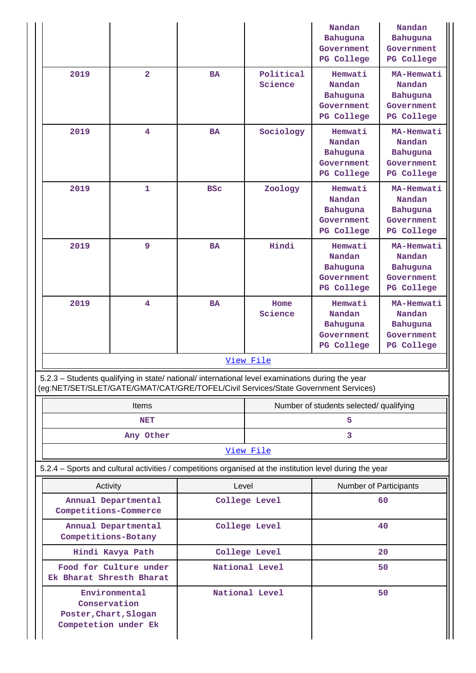|                                                                                                                                                                                        |                         |            |                      | Nandan<br>Bahuguna<br>Government<br>PG College            | Nandan<br><b>Bahuguna</b><br>Government<br>PG College               |  |
|----------------------------------------------------------------------------------------------------------------------------------------------------------------------------------------|-------------------------|------------|----------------------|-----------------------------------------------------------|---------------------------------------------------------------------|--|
| 2019                                                                                                                                                                                   | $\overline{2}$          | <b>BA</b>  | Political<br>Science | Hemwati<br>Nandan<br>Bahuguna<br>Government<br>PG College | MA-Hemwati<br>Nandan<br><b>Bahuguna</b><br>Government<br>PG College |  |
| 2019                                                                                                                                                                                   | 4                       | <b>BA</b>  | Sociology            | Hemwati<br>Nandan<br>Bahuguna<br>Government<br>PG College | MA-Hemwati<br>Nandan<br><b>Bahuguna</b><br>Government<br>PG College |  |
| 2019                                                                                                                                                                                   | $\mathbf 1$             | <b>BSC</b> | Zoology              | Hemwati<br>Nandan<br>Bahuguna<br>Government<br>PG College | MA-Hemwati<br>Nandan<br><b>Bahuguna</b><br>Government<br>PG College |  |
| 2019                                                                                                                                                                                   | 9                       | <b>BA</b>  | Hindi                | Hemwati<br>Nandan<br>Bahuguna<br>Government<br>PG College | MA-Hemwati<br>Nandan<br><b>Bahuguna</b><br>Government<br>PG College |  |
| 2019                                                                                                                                                                                   | $\overline{\mathbf{4}}$ | <b>BA</b>  | Home<br>Science      | Hemwati<br>Nandan<br>Bahuguna<br>Government<br>PG College | MA-Hemwati<br>Nandan<br>Bahuguna<br>Government<br>PG College        |  |
|                                                                                                                                                                                        |                         |            | View File            |                                                           |                                                                     |  |
| 5.2.3 - Students qualifying in state/ national/ international level examinations during the year<br>(eg:NET/SET/SLET/GATE/GMAT/CAT/GRE/TOFEL/Civil Services/State Government Services) |                         |            |                      |                                                           |                                                                     |  |
|                                                                                                                                                                                        | <b>Items</b>            |            |                      | Number of students selected/ qualifying                   |                                                                     |  |
|                                                                                                                                                                                        | <b>NET</b>              |            |                      | 5.                                                        |                                                                     |  |
|                                                                                                                                                                                        | Any Other               |            |                      | 3                                                         |                                                                     |  |
|                                                                                                                                                                                        |                         |            | View File            |                                                           |                                                                     |  |
| 5.2.4 – Sports and cultural activities / competitions organised at the institution level during the year                                                                               |                         |            |                      |                                                           |                                                                     |  |
| Activity                                                                                                                                                                               |                         | Level      |                      | Number of Participants                                    |                                                                     |  |
| Competitions-Commerce                                                                                                                                                                  | Annual Departmental     |            | College Level        |                                                           | 60                                                                  |  |
| Competitions-Botany                                                                                                                                                                    | Annual Departmental     |            | College Level        |                                                           | 40                                                                  |  |
|                                                                                                                                                                                        | Hindi Kavya Path        |            | College Level        |                                                           | 20                                                                  |  |
| Ek Bharat Shresth Bharat                                                                                                                                                               | Food for Culture under  |            | National Level       |                                                           | 50                                                                  |  |
| Conservation<br>Poster, Chart, Slogan<br>Competetion under Ek                                                                                                                          | Environmental           |            | National Level       |                                                           | 50                                                                  |  |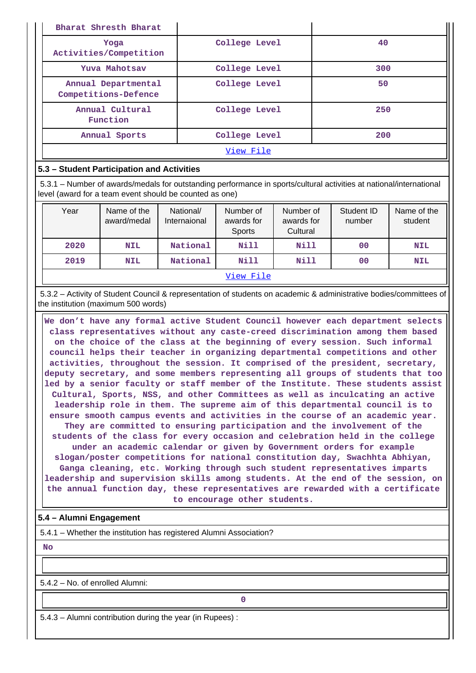| Bharat Shresth Bharat                       |               |     |  |  |  |
|---------------------------------------------|---------------|-----|--|--|--|
| Yoga<br>Activities/Competition              | College Level | 40  |  |  |  |
| Yuva Mahotsav                               | College Level | 300 |  |  |  |
| Annual Departmental<br>Competitions-Defence | College Level | 50  |  |  |  |
| Annual Cultural<br>Function                 | College Level | 250 |  |  |  |
| Annual Sports                               | College Level | 200 |  |  |  |
| View File                                   |               |     |  |  |  |

#### **5.3 – Student Participation and Activities**

 5.3.1 – Number of awards/medals for outstanding performance in sports/cultural activities at national/international level (award for a team event should be counted as one)

| Year | Name of the<br>award/medal | National/<br>Internaional | Number of<br>awards for<br>Sports | Number of<br>awards for<br>Cultural | Student ID<br>number | Name of the<br>student |  |
|------|----------------------------|---------------------------|-----------------------------------|-------------------------------------|----------------------|------------------------|--|
| 2020 | <b>NIL</b>                 | National                  | Nill                              | <b>Nill</b>                         | 00                   | <b>NIL</b>             |  |
| 2019 | <b>NIL</b>                 | National                  | Nill                              | <b>Nill</b>                         | 0 <sup>0</sup>       | <b>NIL</b>             |  |
|      | View File                  |                           |                                   |                                     |                      |                        |  |

 5.3.2 – Activity of Student Council & representation of students on academic & administrative bodies/committees of the institution (maximum 500 words)

 **We don't have any formal active Student Council however each department selects class representatives without any caste-creed discrimination among them based on the choice of the class at the beginning of every session. Such informal council helps their teacher in organizing departmental competitions and other activities, throughout the session. It comprised of the president, secretary, deputy secretary, and some members representing all groups of students that too led by a senior faculty or staff member of the Institute. These students assist Cultural, Sports, NSS, and other Committees as well as inculcating an active leadership role in them. The supreme aim of this departmental council is to ensure smooth campus events and activities in the course of an academic year. They are committed to ensuring participation and the involvement of the students of the class for every occasion and celebration held in the college under an academic calendar or given by Government orders for example slogan/poster competitions for national constitution day, Swachhta Abhiyan, Ganga cleaning, etc. Working through such student representatives imparts leadership and supervision skills among students. At the end of the session, on the annual function day, these representatives are rewarded with a certificate to encourage other students.**

## **5.4 – Alumni Engagement**

5.4.1 – Whether the institution has registered Alumni Association?

 **No**

5.4.2 – No. of enrolled Alumni:

**0**

5.4.3 – Alumni contribution during the year (in Rupees) :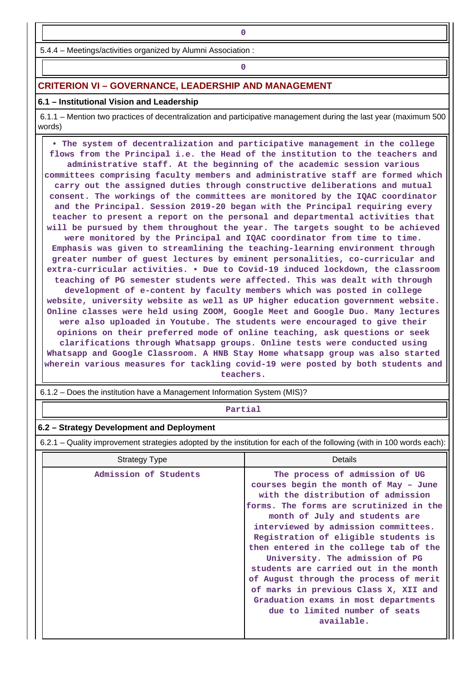**0**

# **0**

## **CRITERION VI – GOVERNANCE, LEADERSHIP AND MANAGEMENT**

#### **6.1 – Institutional Vision and Leadership**

 6.1.1 – Mention two practices of decentralization and participative management during the last year (maximum 500 words)

 **• The system of decentralization and participative management in the college flows from the Principal i.e. the Head of the institution to the teachers and administrative staff. At the beginning of the academic session various committees comprising faculty members and administrative staff are formed which carry out the assigned duties through constructive deliberations and mutual consent. The workings of the committees are monitored by the IQAC coordinator and the Principal. Session 2019-20 began with the Principal requiring every teacher to present a report on the personal and departmental activities that will be pursued by them throughout the year. The targets sought to be achieved were monitored by the Principal and IQAC coordinator from time to time. Emphasis was given to streamlining the teaching-learning environment through greater number of guest lectures by eminent personalities, co-curricular and extra-curricular activities. • Due to Covid-19 induced lockdown, the classroom teaching of PG semester students were affected. This was dealt with through development of e-content by faculty members which was posted in college website, university website as well as UP higher education government website. Online classes were held using ZOOM, Google Meet and Google Duo. Many lectures were also uploaded in Youtube. The students were encouraged to give their opinions on their preferred mode of online teaching, ask questions or seek clarifications through Whatsapp groups. Online tests were conducted using Whatsapp and Google Classroom. A HNB Stay Home whatsapp group was also started wherein various measures for tackling covid-19 were posted by both students and teachers.**

6.1.2 – Does the institution have a Management Information System (MIS)?

# **Partial**

#### **6.2 – Strategy Development and Deployment**

6.2.1 – Quality improvement strategies adopted by the institution for each of the following (with in 100 words each):

| <b>Strategy Type</b>  | <b>Details</b>                                                                                                                                                                                                                                                                                                                                                                                                                                                                                                                                                              |
|-----------------------|-----------------------------------------------------------------------------------------------------------------------------------------------------------------------------------------------------------------------------------------------------------------------------------------------------------------------------------------------------------------------------------------------------------------------------------------------------------------------------------------------------------------------------------------------------------------------------|
| Admission of Students | The process of admission of UG<br>courses begin the month of May - June<br>with the distribution of admission<br>forms. The forms are scrutinized in the<br>month of July and students are<br>interviewed by admission committees.<br>Registration of eligible students is<br>then entered in the college tab of the<br>University. The admission of PG<br>students are carried out in the month<br>of August through the process of merit<br>of marks in previous Class X, XII and<br>Graduation exams in most departments<br>due to limited number of seats<br>available. |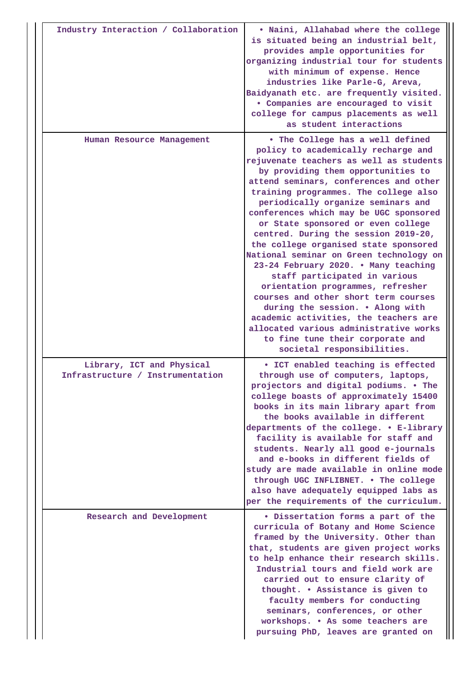| Industry Interaction / Collaboration                          | . Naini, Allahabad where the college<br>is situated being an industrial belt,<br>provides ample opportunities for<br>organizing industrial tour for students<br>with minimum of expense. Hence<br>industries like Parle-G, Areva,<br>Baidyanath etc. are frequently visited.<br>· Companies are encouraged to visit<br>college for campus placements as well<br>as student interactions                                                                                                                                                                                                                                                                                                                                                                                                                                                      |
|---------------------------------------------------------------|----------------------------------------------------------------------------------------------------------------------------------------------------------------------------------------------------------------------------------------------------------------------------------------------------------------------------------------------------------------------------------------------------------------------------------------------------------------------------------------------------------------------------------------------------------------------------------------------------------------------------------------------------------------------------------------------------------------------------------------------------------------------------------------------------------------------------------------------|
| Human Resource Management                                     | . The College has a well defined<br>policy to academically recharge and<br>rejuvenate teachers as well as students<br>by providing them opportunities to<br>attend seminars, conferences and other<br>training programmes. The college also<br>periodically organize seminars and<br>conferences which may be UGC sponsored<br>or State sponsored or even college<br>centred. During the session 2019-20,<br>the college organised state sponsored<br>National seminar on Green technology on<br>23-24 February 2020. . Many teaching<br>staff participated in various<br>orientation programmes, refresher<br>courses and other short term courses<br>during the session. . Along with<br>academic activities, the teachers are<br>allocated various administrative works<br>to fine tune their corporate and<br>societal responsibilities. |
| Library, ICT and Physical<br>Infrastructure / Instrumentation | • ICT enabled teaching is effected<br>through use of computers, laptops,<br>projectors and digital podiums. . The<br>college boasts of approximately 15400<br>books in its main library apart from<br>the books available in different<br>departments of the college. . E-library<br>facility is available for staff and<br>students. Nearly all good e-journals<br>and e-books in different fields of<br>study are made available in online mode<br>through UGC INFLIBNET. . The college<br>also have adequately equipped labs as<br>per the requirements of the curriculum.                                                                                                                                                                                                                                                                |
| Research and Development                                      | · Dissertation forms a part of the<br>curricula of Botany and Home Science<br>framed by the University. Other than<br>that, students are given project works<br>to help enhance their research skills.<br>Industrial tours and field work are<br>carried out to ensure clarity of<br>thought. . Assistance is given to<br>faculty members for conducting<br>seminars, conferences, or other<br>workshops. . As some teachers are<br>pursuing PhD, leaves are granted on                                                                                                                                                                                                                                                                                                                                                                      |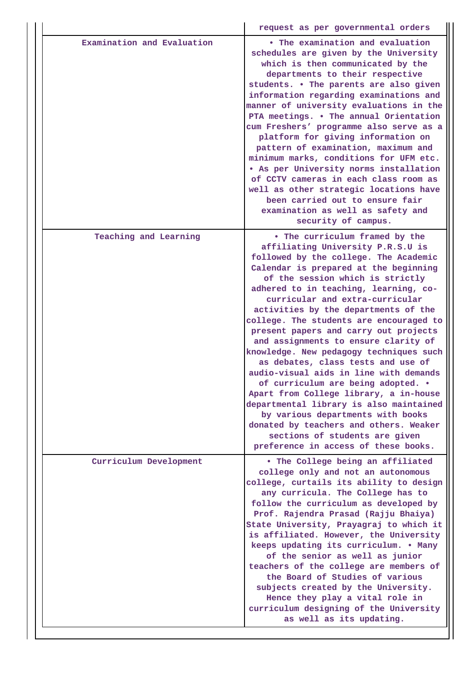|                            | request as per governmental orders                                                                                                                                                                                                                                                                                                                                                                                                                                                                                                                                                                                                                                                                                                                                                                                                                       |
|----------------------------|----------------------------------------------------------------------------------------------------------------------------------------------------------------------------------------------------------------------------------------------------------------------------------------------------------------------------------------------------------------------------------------------------------------------------------------------------------------------------------------------------------------------------------------------------------------------------------------------------------------------------------------------------------------------------------------------------------------------------------------------------------------------------------------------------------------------------------------------------------|
| Examination and Evaluation | • The examination and evaluation<br>schedules are given by the University<br>which is then communicated by the<br>departments to their respective<br>students. . The parents are also given<br>information regarding examinations and<br>manner of university evaluations in the<br>PTA meetings. . The annual Orientation<br>cum Freshers' programme also serve as a<br>platform for giving information on<br>pattern of examination, maximum and<br>minimum marks, conditions for UFM etc.<br>. As per University norms installation<br>of CCTV cameras in each class room as<br>well as other strategic locations have<br>been carried out to ensure fair<br>examination as well as safety and<br>security of campus.                                                                                                                                 |
| Teaching and Learning      | • The curriculum framed by the<br>affiliating University P.R.S.U is<br>followed by the college. The Academic<br>Calendar is prepared at the beginning<br>of the session which is strictly<br>adhered to in teaching, learning, co-<br>curricular and extra-curricular<br>activities by the departments of the<br>college. The students are encouraged to<br>present papers and carry out projects<br>and assignments to ensure clarity of<br>knowledge. New pedagogy techniques such<br>as debates, class tests and use of<br>audio-visual aids in line with demands<br>of curriculum are being adopted. .<br>Apart from College library, a in-house<br>departmental library is also maintained<br>by various departments with books<br>donated by teachers and others. Weaker<br>sections of students are given<br>preference in access of these books. |
| Curriculum Development     | . The College being an affiliated<br>college only and not an autonomous<br>college, curtails its ability to design<br>any curricula. The College has to<br>follow the curriculum as developed by<br>Prof. Rajendra Prasad (Rajju Bhaiya)<br>State University, Prayagraj to which it<br>is affiliated. However, the University<br>keeps updating its curriculum. . Many<br>of the senior as well as junior<br>teachers of the college are members of<br>the Board of Studies of various<br>subjects created by the University.<br>Hence they play a vital role in<br>curriculum designing of the University<br>as well as its updating.                                                                                                                                                                                                                   |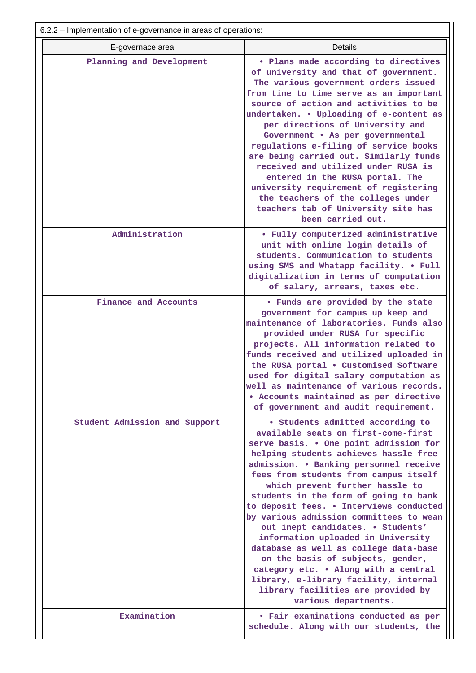| E-governace area<br>Planning and Development | <b>Details</b><br>. Plans made according to directives<br>of university and that of government.<br>The various government orders issued<br>from time to time serve as an important<br>source of action and activities to be<br>undertaken. . Uploading of e-content as<br>per directions of University and<br>Government . As per governmental<br>regulations e-filing of service books<br>are being carried out. Similarly funds<br>received and utilized under RUSA is<br>entered in the RUSA portal. The                                                                                                      |
|----------------------------------------------|------------------------------------------------------------------------------------------------------------------------------------------------------------------------------------------------------------------------------------------------------------------------------------------------------------------------------------------------------------------------------------------------------------------------------------------------------------------------------------------------------------------------------------------------------------------------------------------------------------------|
|                                              | university requirement of registering<br>the teachers of the colleges under<br>teachers tab of University site has<br>been carried out.                                                                                                                                                                                                                                                                                                                                                                                                                                                                          |
| Administration                               | · Fully computerized administrative<br>unit with online login details of<br>students. Communication to students<br>using SMS and Whatapp facility. . Full<br>digitalization in terms of computation<br>of salary, arrears, taxes etc.                                                                                                                                                                                                                                                                                                                                                                            |
| Finance and Accounts                         | . Funds are provided by the state<br>government for campus up keep and<br>maintenance of laboratories. Funds also<br>provided under RUSA for specific<br>projects. All information related to<br>funds received and utilized uploaded in<br>the RUSA portal . Customised Software<br>used for digital salary computation as<br>well as maintenance of various records.<br>• Accounts maintained as per directive<br>of government and audit requirement.                                                                                                                                                         |
| Student Admission and Support                | • Students admitted according to<br>available seats on first-come-first<br>serve basis. . One point admission for<br>helping students achieves hassle free<br>admission. . Banking personnel receive<br>fees from students from campus itself<br>which prevent further hassle to<br>students in the form of going to bank<br>to deposit fees. . Interviews conducted<br>by various admission committees to wean<br>out inept candidates. . Students'<br>information uploaded in University<br>database as well as college data-base<br>on the basis of subjects, gender,<br>category etc. . Along with a central |
|                                              | library, e-library facility, internal<br>library facilities are provided by<br>various departments.                                                                                                                                                                                                                                                                                                                                                                                                                                                                                                              |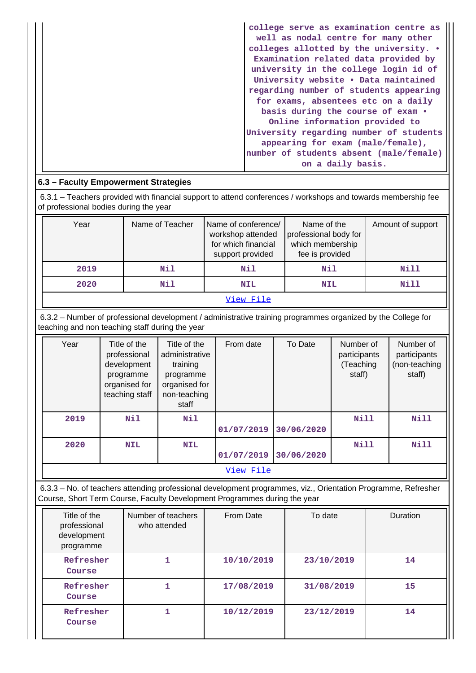| college serve as examination centre as<br>well as nodal centre for many other |
|-------------------------------------------------------------------------------|
| colleges allotted by the university. •                                        |
| Examination related data provided by                                          |
| university in the college login id of                                         |
| University website . Data maintained                                          |
| regarding number of students appearing                                        |
| for exams, absentees etc on a daily                                           |
| basis during the course of exam .                                             |
| Online information provided to                                                |
| University regarding number of students                                       |
| appearing for exam (male/female),                                             |
| number of students absent (male/female)                                       |
| on a daily basis.                                                             |

# **6.3 – Faculty Empowerment Strategies**

 6.3.1 – Teachers provided with financial support to attend conferences / workshops and towards membership fee of professional bodies during the year

| Year | Name of Teacher | Name of conference/<br>workshop attended<br>for which financial<br>support provided | Name of the<br>professional body for<br>which membership<br>fee is provided | Amount of support |
|------|-----------------|-------------------------------------------------------------------------------------|-----------------------------------------------------------------------------|-------------------|
| 2019 | Nil             | Nil                                                                                 | Nil                                                                         | Nill              |
| 2020 | Nil             | <b>NIL</b>                                                                          | <b>NIL</b>                                                                  | Nill              |
|      |                 | View File                                                                           |                                                                             |                   |

 6.3.2 – Number of professional development / administrative training programmes organized by the College for teaching and non teaching staff during the year

| Year | Title of the<br>professional<br>development<br>programme<br>organised for<br>teaching staff | Title of the<br>administrative<br>training<br>programme<br>organised for<br>non-teaching<br>staff | From date  | To Date    | Number of<br>participants<br>(Teaching<br>staff) | Number of<br>participants<br>(non-teaching<br>staff) |
|------|---------------------------------------------------------------------------------------------|---------------------------------------------------------------------------------------------------|------------|------------|--------------------------------------------------|------------------------------------------------------|
| 2019 | Nil                                                                                         | Nil                                                                                               |            |            | Nill                                             | Nill                                                 |
|      |                                                                                             |                                                                                                   | 01/07/2019 | 30/06/2020 |                                                  |                                                      |
| 2020 | <b>NIL</b>                                                                                  | <b>NIL</b>                                                                                        |            |            | Nill                                             | <b>Nill</b>                                          |
|      |                                                                                             |                                                                                                   | 01/07/2019 | 30/06/2020 |                                                  |                                                      |
|      |                                                                                             |                                                                                                   | View File  |            |                                                  |                                                      |

 6.3.3 – No. of teachers attending professional development programmes, viz., Orientation Programme, Refresher Course, Short Term Course, Faculty Development Programmes during the year

| Title of the<br>professional<br>development<br>programme | Number of teachers<br>who attended | From Date  | To date    | <b>Duration</b> |
|----------------------------------------------------------|------------------------------------|------------|------------|-----------------|
| Refresher<br>Course                                      |                                    | 10/10/2019 | 23/10/2019 | 14              |
| Refresher<br>Course                                      |                                    | 17/08/2019 | 31/08/2019 | 15              |
| Refresher<br>Course                                      |                                    | 10/12/2019 | 23/12/2019 | 14              |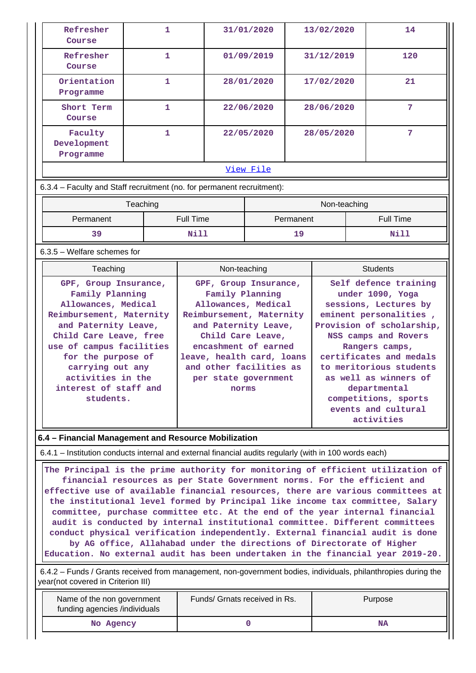| Refresher<br>Course                                                                                                                                                                                                                                                                                                                                                                                                                                                                                                                                                                                                                                                                                                                          | 1            |                                                                                                                                                                                                               | 31/01/2020   | 13/02/2020 |                                                                                                                                                                                                                                                                                                        |  | 14               |
|----------------------------------------------------------------------------------------------------------------------------------------------------------------------------------------------------------------------------------------------------------------------------------------------------------------------------------------------------------------------------------------------------------------------------------------------------------------------------------------------------------------------------------------------------------------------------------------------------------------------------------------------------------------------------------------------------------------------------------------------|--------------|---------------------------------------------------------------------------------------------------------------------------------------------------------------------------------------------------------------|--------------|------------|--------------------------------------------------------------------------------------------------------------------------------------------------------------------------------------------------------------------------------------------------------------------------------------------------------|--|------------------|
| Refresher<br>Course                                                                                                                                                                                                                                                                                                                                                                                                                                                                                                                                                                                                                                                                                                                          | 1            |                                                                                                                                                                                                               | 01/09/2019   |            | 31/12/2019                                                                                                                                                                                                                                                                                             |  | 120              |
| Orientation<br>Programme                                                                                                                                                                                                                                                                                                                                                                                                                                                                                                                                                                                                                                                                                                                     | $\mathbf{1}$ |                                                                                                                                                                                                               | 28/01/2020   |            | 17/02/2020                                                                                                                                                                                                                                                                                             |  | 21               |
| Short Term<br>Course                                                                                                                                                                                                                                                                                                                                                                                                                                                                                                                                                                                                                                                                                                                         | 1            |                                                                                                                                                                                                               | 22/06/2020   |            | 28/06/2020                                                                                                                                                                                                                                                                                             |  | 7                |
| Faculty<br>Development<br>Programme                                                                                                                                                                                                                                                                                                                                                                                                                                                                                                                                                                                                                                                                                                          | 1            |                                                                                                                                                                                                               | 22/05/2020   |            | 28/05/2020                                                                                                                                                                                                                                                                                             |  | 7                |
|                                                                                                                                                                                                                                                                                                                                                                                                                                                                                                                                                                                                                                                                                                                                              |              |                                                                                                                                                                                                               | View File    |            |                                                                                                                                                                                                                                                                                                        |  |                  |
| 6.3.4 - Faculty and Staff recruitment (no. for permanent recruitment):                                                                                                                                                                                                                                                                                                                                                                                                                                                                                                                                                                                                                                                                       |              |                                                                                                                                                                                                               |              |            |                                                                                                                                                                                                                                                                                                        |  |                  |
|                                                                                                                                                                                                                                                                                                                                                                                                                                                                                                                                                                                                                                                                                                                                              | Teaching     |                                                                                                                                                                                                               |              |            | Non-teaching                                                                                                                                                                                                                                                                                           |  |                  |
| Permanent                                                                                                                                                                                                                                                                                                                                                                                                                                                                                                                                                                                                                                                                                                                                    |              | <b>Full Time</b>                                                                                                                                                                                              |              | Permanent  |                                                                                                                                                                                                                                                                                                        |  | <b>Full Time</b> |
| 39                                                                                                                                                                                                                                                                                                                                                                                                                                                                                                                                                                                                                                                                                                                                           |              | Nill                                                                                                                                                                                                          |              | 19         |                                                                                                                                                                                                                                                                                                        |  | Nill             |
| $6.3.5$ – Welfare schemes for                                                                                                                                                                                                                                                                                                                                                                                                                                                                                                                                                                                                                                                                                                                |              |                                                                                                                                                                                                               |              |            |                                                                                                                                                                                                                                                                                                        |  |                  |
| Teaching                                                                                                                                                                                                                                                                                                                                                                                                                                                                                                                                                                                                                                                                                                                                     |              |                                                                                                                                                                                                               | Non-teaching |            |                                                                                                                                                                                                                                                                                                        |  | <b>Students</b>  |
| Allowances, Medical<br>Reimbursement, Maternity<br>and Paternity Leave,<br>Child Care Leave, free<br>use of campus facilities<br>for the purpose of<br>carrying out any<br>activities in the<br>interest of staff and<br>students.                                                                                                                                                                                                                                                                                                                                                                                                                                                                                                           |              | Allowances, Medical<br>Reimbursement, Maternity<br>and Paternity Leave,<br>Child Care Leave,<br>encashment of earned<br>leave, health card, loans<br>and other facilities as<br>per state government<br>norms |              |            | under 1090, Yoga<br>sessions, Lectures by<br>eminent personalities,<br>Provision of scholarship,<br>NSS camps and Rovers<br>Rangers camps,<br>certificates and medals<br>to meritorious students<br>as well as winners of<br>departmental<br>competitions, sports<br>events and cultural<br>activities |  |                  |
| 6.4 - Financial Management and Resource Mobilization                                                                                                                                                                                                                                                                                                                                                                                                                                                                                                                                                                                                                                                                                         |              |                                                                                                                                                                                                               |              |            |                                                                                                                                                                                                                                                                                                        |  |                  |
| 6.4.1 – Institution conducts internal and external financial audits regularly (with in 100 words each)                                                                                                                                                                                                                                                                                                                                                                                                                                                                                                                                                                                                                                       |              |                                                                                                                                                                                                               |              |            |                                                                                                                                                                                                                                                                                                        |  |                  |
| The Principal is the prime authority for monitoring of efficient utilization of<br>financial resources as per State Government norms. For the efficient and<br>effective use of available financial resources, there are various committees at<br>the institutional level formed by Principal like income tax committee, Salary<br>committee, purchase committee etc. At the end of the year internal financial<br>audit is conducted by internal institutional committee. Different committees<br>conduct physical verification independently. External financial audit is done<br>by AG office, Allahabad under the directions of Directorate of Higher<br>Education. No external audit has been undertaken in the financial year 2019-20. |              |                                                                                                                                                                                                               |              |            |                                                                                                                                                                                                                                                                                                        |  |                  |
| 6.4.2 – Funds / Grants received from management, non-government bodies, individuals, philanthropies during the<br>year(not covered in Criterion III)                                                                                                                                                                                                                                                                                                                                                                                                                                                                                                                                                                                         |              |                                                                                                                                                                                                               |              |            |                                                                                                                                                                                                                                                                                                        |  |                  |
| Name of the non government<br>funding agencies /individuals                                                                                                                                                                                                                                                                                                                                                                                                                                                                                                                                                                                                                                                                                  |              | Funds/ Grnats received in Rs.                                                                                                                                                                                 |              |            |                                                                                                                                                                                                                                                                                                        |  | Purpose          |
| No Agency                                                                                                                                                                                                                                                                                                                                                                                                                                                                                                                                                                                                                                                                                                                                    |              |                                                                                                                                                                                                               | 0            | NA         |                                                                                                                                                                                                                                                                                                        |  |                  |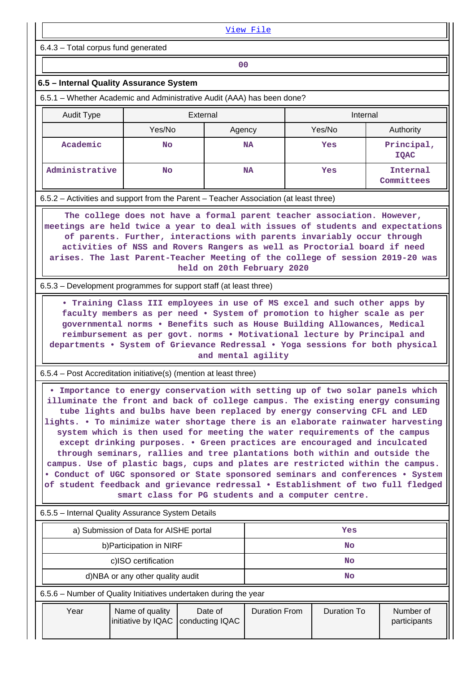|                                                                                                                                                                                                                                                                                                                                                                                                                                                                                                                                                                                                                                                                                                                                                                                                                                                                                        | View File                              |                            |                      |                                                                                                                                                                                                                                                                                                              |                           |  |
|----------------------------------------------------------------------------------------------------------------------------------------------------------------------------------------------------------------------------------------------------------------------------------------------------------------------------------------------------------------------------------------------------------------------------------------------------------------------------------------------------------------------------------------------------------------------------------------------------------------------------------------------------------------------------------------------------------------------------------------------------------------------------------------------------------------------------------------------------------------------------------------|----------------------------------------|----------------------------|----------------------|--------------------------------------------------------------------------------------------------------------------------------------------------------------------------------------------------------------------------------------------------------------------------------------------------------------|---------------------------|--|
| 6.4.3 - Total corpus fund generated                                                                                                                                                                                                                                                                                                                                                                                                                                                                                                                                                                                                                                                                                                                                                                                                                                                    |                                        |                            |                      |                                                                                                                                                                                                                                                                                                              |                           |  |
|                                                                                                                                                                                                                                                                                                                                                                                                                                                                                                                                                                                                                                                                                                                                                                                                                                                                                        |                                        | 0 <sub>0</sub>             |                      |                                                                                                                                                                                                                                                                                                              |                           |  |
| 6.5 - Internal Quality Assurance System                                                                                                                                                                                                                                                                                                                                                                                                                                                                                                                                                                                                                                                                                                                                                                                                                                                |                                        |                            |                      |                                                                                                                                                                                                                                                                                                              |                           |  |
| 6.5.1 – Whether Academic and Administrative Audit (AAA) has been done?                                                                                                                                                                                                                                                                                                                                                                                                                                                                                                                                                                                                                                                                                                                                                                                                                 |                                        |                            |                      |                                                                                                                                                                                                                                                                                                              |                           |  |
| <b>Audit Type</b>                                                                                                                                                                                                                                                                                                                                                                                                                                                                                                                                                                                                                                                                                                                                                                                                                                                                      |                                        | External                   |                      | Internal                                                                                                                                                                                                                                                                                                     |                           |  |
|                                                                                                                                                                                                                                                                                                                                                                                                                                                                                                                                                                                                                                                                                                                                                                                                                                                                                        | Yes/No                                 | Agency                     |                      | Yes/No                                                                                                                                                                                                                                                                                                       | Authority                 |  |
| Academic                                                                                                                                                                                                                                                                                                                                                                                                                                                                                                                                                                                                                                                                                                                                                                                                                                                                               | No                                     |                            | <b>NA</b>            | Yes                                                                                                                                                                                                                                                                                                          | Principal,<br><b>IQAC</b> |  |
| Administrative                                                                                                                                                                                                                                                                                                                                                                                                                                                                                                                                                                                                                                                                                                                                                                                                                                                                         | No                                     |                            | <b>NA</b>            | Yes                                                                                                                                                                                                                                                                                                          | Internal<br>Committees    |  |
| 6.5.2 – Activities and support from the Parent – Teacher Association (at least three)                                                                                                                                                                                                                                                                                                                                                                                                                                                                                                                                                                                                                                                                                                                                                                                                  |                                        |                            |                      |                                                                                                                                                                                                                                                                                                              |                           |  |
| arises. The last Parent-Teacher Meeting of the college of session 2019-20 was<br>6.5.3 – Development programmes for support staff (at least three)                                                                                                                                                                                                                                                                                                                                                                                                                                                                                                                                                                                                                                                                                                                                     |                                        | held on 20th February 2020 |                      | of parents. Further, interactions with parents invariably occur through<br>activities of NSS and Rovers Rangers as well as Proctorial board if need                                                                                                                                                          |                           |  |
| departments . System of Grievance Redressal . Yoga sessions for both physical                                                                                                                                                                                                                                                                                                                                                                                                                                                                                                                                                                                                                                                                                                                                                                                                          |                                        | and mental agility         |                      | . Training Class III employees in use of MS excel and such other apps by<br>faculty members as per need . System of promotion to higher scale as per<br>governmental norms . Benefits such as House Building Allowances, Medical<br>reimbursement as per govt. norms . Motivational lecture by Principal and |                           |  |
| 6.5.4 - Post Accreditation initiative(s) (mention at least three)                                                                                                                                                                                                                                                                                                                                                                                                                                                                                                                                                                                                                                                                                                                                                                                                                      |                                        |                            |                      |                                                                                                                                                                                                                                                                                                              |                           |  |
| . Importance to energy conservation with setting up of two solar panels which<br>illuminate the front and back of college campus. The existing energy consuming<br>tube lights and bulbs have been replaced by energy conserving CFL and LED<br>lights. . To minimize water shortage there is an elaborate rainwater harvesting<br>system which is then used for meeting the water requirements of the campus<br>except drinking purposes. • Green practices are encouraged and inculcated<br>through seminars, rallies and tree plantations both within and outside the<br>campus. Use of plastic bags, cups and plates are restricted within the campus.<br>. Conduct of UGC sponsored or State sponsored seminars and conferences . System<br>of student feedback and grievance redressal . Establishment of two full fledged<br>smart class for PG students and a computer centre. |                                        |                            |                      |                                                                                                                                                                                                                                                                                                              |                           |  |
| 6.5.5 - Internal Quality Assurance System Details                                                                                                                                                                                                                                                                                                                                                                                                                                                                                                                                                                                                                                                                                                                                                                                                                                      |                                        |                            |                      |                                                                                                                                                                                                                                                                                                              |                           |  |
|                                                                                                                                                                                                                                                                                                                                                                                                                                                                                                                                                                                                                                                                                                                                                                                                                                                                                        | a) Submission of Data for AISHE portal |                            |                      | Yes                                                                                                                                                                                                                                                                                                          |                           |  |
|                                                                                                                                                                                                                                                                                                                                                                                                                                                                                                                                                                                                                                                                                                                                                                                                                                                                                        | b) Participation in NIRF               |                            |                      | <b>No</b>                                                                                                                                                                                                                                                                                                    |                           |  |
|                                                                                                                                                                                                                                                                                                                                                                                                                                                                                                                                                                                                                                                                                                                                                                                                                                                                                        | c)ISO certification                    |                            |                      | <b>No</b>                                                                                                                                                                                                                                                                                                    |                           |  |
|                                                                                                                                                                                                                                                                                                                                                                                                                                                                                                                                                                                                                                                                                                                                                                                                                                                                                        | d)NBA or any other quality audit       |                            |                      | <b>No</b>                                                                                                                                                                                                                                                                                                    |                           |  |
| 6.5.6 - Number of Quality Initiatives undertaken during the year                                                                                                                                                                                                                                                                                                                                                                                                                                                                                                                                                                                                                                                                                                                                                                                                                       |                                        |                            |                      |                                                                                                                                                                                                                                                                                                              |                           |  |
| Year                                                                                                                                                                                                                                                                                                                                                                                                                                                                                                                                                                                                                                                                                                                                                                                                                                                                                   | Name of quality<br>initiative by IQAC  | Date of<br>conducting IQAC | <b>Duration From</b> | <b>Duration To</b>                                                                                                                                                                                                                                                                                           | Number of<br>participants |  |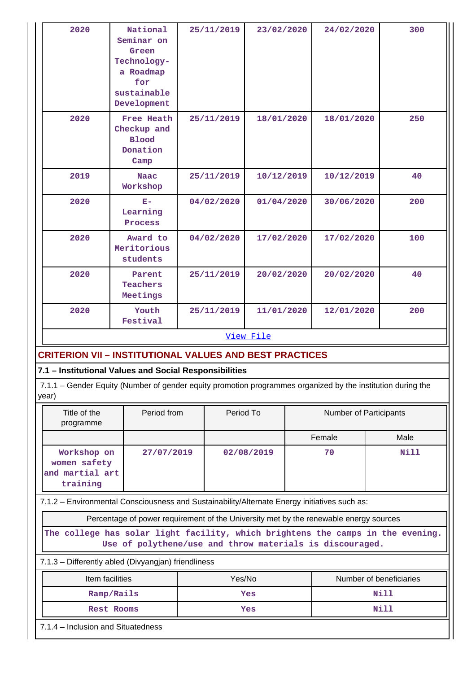| 2020                                                                                                                                        | National<br>Seminar on<br>Green<br>Technology-<br>a Roadmap<br>for<br>sustainable<br>Development |           | 25/11/2019 | 23/02/2020 |                               | 24/02/2020 |  | 300         |  |  |
|---------------------------------------------------------------------------------------------------------------------------------------------|--------------------------------------------------------------------------------------------------|-----------|------------|------------|-------------------------------|------------|--|-------------|--|--|
| 2020                                                                                                                                        | <b>Free Heath</b><br>Checkup and<br><b>Blood</b><br>Donation<br>Camp                             |           | 25/11/2019 | 18/01/2020 |                               | 18/01/2020 |  | 250         |  |  |
| 2019                                                                                                                                        | <b>Naac</b><br>Workshop                                                                          |           | 25/11/2019 | 10/12/2019 |                               | 10/12/2019 |  | 40          |  |  |
| 2020                                                                                                                                        | $E-$<br>Learning<br>Process                                                                      |           | 04/02/2020 | 01/04/2020 |                               | 30/06/2020 |  | 200         |  |  |
| 2020                                                                                                                                        | Award to<br>Meritorious<br>students                                                              |           | 04/02/2020 | 17/02/2020 |                               | 17/02/2020 |  | 100         |  |  |
| 2020                                                                                                                                        | Parent<br>Teachers<br>Meetings                                                                   |           | 25/11/2019 | 20/02/2020 |                               | 20/02/2020 |  | 40          |  |  |
| 2020                                                                                                                                        | Youth<br>Festival                                                                                |           | 25/11/2019 |            | 11/01/2020<br>12/01/2020      |            |  | 200         |  |  |
| View File                                                                                                                                   |                                                                                                  |           |            |            |                               |            |  |             |  |  |
| <b>CRITERION VII - INSTITUTIONAL VALUES AND BEST PRACTICES</b>                                                                              |                                                                                                  |           |            |            |                               |            |  |             |  |  |
| 7.1 - Institutional Values and Social Responsibilities                                                                                      |                                                                                                  |           |            |            |                               |            |  |             |  |  |
| 7.1.1 – Gender Equity (Number of gender equity promotion programmes organized by the institution during the<br>year)                        |                                                                                                  |           |            |            |                               |            |  |             |  |  |
| Title of the<br>Period from<br>programme                                                                                                    |                                                                                                  | Period To |            |            | <b>Number of Participants</b> |            |  |             |  |  |
|                                                                                                                                             |                                                                                                  |           |            |            |                               | Female     |  | Male        |  |  |
| Workshop on<br>27/07/2019<br>women safety<br>and martial art<br>training                                                                    |                                                                                                  |           |            | 02/08/2019 |                               | 70         |  | <b>Nill</b> |  |  |
| 7.1.2 - Environmental Consciousness and Sustainability/Alternate Energy initiatives such as:                                                |                                                                                                  |           |            |            |                               |            |  |             |  |  |
| Percentage of power requirement of the University met by the renewable energy sources                                                       |                                                                                                  |           |            |            |                               |            |  |             |  |  |
| The college has solar light facility, which brightens the camps in the evening.<br>Use of polythene/use and throw materials is discouraged. |                                                                                                  |           |            |            |                               |            |  |             |  |  |
| 7.1.3 - Differently abled (Divyangjan) friendliness                                                                                         |                                                                                                  |           |            |            |                               |            |  |             |  |  |
| Item facilities                                                                                                                             | Yes/No                                                                                           |           |            |            | Number of beneficiaries       |            |  |             |  |  |
| Ramp/Rails                                                                                                                                  | Yes                                                                                              |           |            |            | Nill                          |            |  |             |  |  |
|                                                                                                                                             | <b>Rest Rooms</b>                                                                                | Yes       |            |            |                               | Nill       |  |             |  |  |
| 7.1.4 - Inclusion and Situatedness                                                                                                          |                                                                                                  |           |            |            |                               |            |  |             |  |  |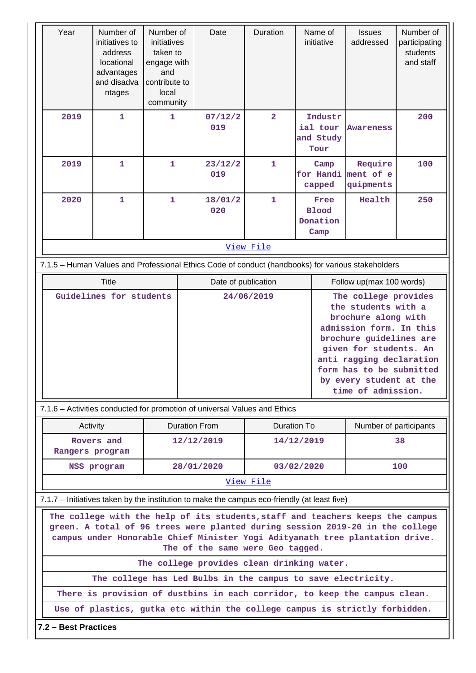| Year                                                                                                                                                                                                                                                                                | Number of<br>initiatives to<br>address<br>locational<br>advantages<br>and disadva<br>ntages                                                | Number of<br>initiatives<br>taken to<br>engage with<br>and<br>contribute to<br>local<br>community |                                     | Duration<br>Name of<br>Date<br>initiative |                          |                                          | <b>Issues</b><br>addressed               | Number of<br>participating<br>students<br>and staff                                                                                                                                                                                                         |                          |  |  |  |
|-------------------------------------------------------------------------------------------------------------------------------------------------------------------------------------------------------------------------------------------------------------------------------------|--------------------------------------------------------------------------------------------------------------------------------------------|---------------------------------------------------------------------------------------------------|-------------------------------------|-------------------------------------------|--------------------------|------------------------------------------|------------------------------------------|-------------------------------------------------------------------------------------------------------------------------------------------------------------------------------------------------------------------------------------------------------------|--------------------------|--|--|--|
| 2019                                                                                                                                                                                                                                                                                | $\mathbf{1}$                                                                                                                               | 1                                                                                                 |                                     | 07/12/2<br>019                            | $\overline{2}$           |                                          | Industr<br>ial tour<br>and Study<br>Tour | <b>Awareness</b>                                                                                                                                                                                                                                            | 200                      |  |  |  |
| 2019                                                                                                                                                                                                                                                                                | $\mathbf{1}$                                                                                                                               | $\mathbf{1}$                                                                                      |                                     | 23/12/2<br>019                            | $\mathbf{1}$             | Camp<br>for Handi ment of e<br>capped    |                                          | Require<br>quipments                                                                                                                                                                                                                                        | 100                      |  |  |  |
| 2020                                                                                                                                                                                                                                                                                | $\mathbf{1}$                                                                                                                               | $\mathbf{1}$                                                                                      |                                     | 18/01/2<br>020                            | $\mathbf{1}$             | Free<br><b>Blood</b><br>Donation<br>Camp |                                          | Health                                                                                                                                                                                                                                                      | 250                      |  |  |  |
| View File                                                                                                                                                                                                                                                                           |                                                                                                                                            |                                                                                                   |                                     |                                           |                          |                                          |                                          |                                                                                                                                                                                                                                                             |                          |  |  |  |
| 7.1.5 - Human Values and Professional Ethics Code of conduct (handbooks) for various stakeholders                                                                                                                                                                                   |                                                                                                                                            |                                                                                                   |                                     |                                           |                          |                                          |                                          |                                                                                                                                                                                                                                                             |                          |  |  |  |
|                                                                                                                                                                                                                                                                                     | <b>Title</b>                                                                                                                               |                                                                                                   |                                     |                                           | Date of publication      |                                          |                                          |                                                                                                                                                                                                                                                             | Follow up(max 100 words) |  |  |  |
| Guidelines for students                                                                                                                                                                                                                                                             |                                                                                                                                            |                                                                                                   |                                     | 24/06/2019                                |                          |                                          |                                          | The college provides<br>the students with a<br>brochure along with<br>admission form. In this<br>brochure guidelines are<br>given for students. An<br>anti ragging declaration<br>form has to be submitted<br>by every student at the<br>time of admission. |                          |  |  |  |
|                                                                                                                                                                                                                                                                                     | 7.1.6 – Activities conducted for promotion of universal Values and Ethics                                                                  |                                                                                                   |                                     |                                           |                          |                                          |                                          |                                                                                                                                                                                                                                                             |                          |  |  |  |
| Activity                                                                                                                                                                                                                                                                            |                                                                                                                                            |                                                                                                   | <b>Duration From</b><br>Duration To |                                           |                          |                                          |                                          |                                                                                                                                                                                                                                                             | Number of participants   |  |  |  |
| Rovers and<br>Rangers program                                                                                                                                                                                                                                                       |                                                                                                                                            | 12/12/2019                                                                                        |                                     |                                           | 14/12/2019               |                                          | 38                                       |                                                                                                                                                                                                                                                             |                          |  |  |  |
|                                                                                                                                                                                                                                                                                     | NSS program                                                                                                                                |                                                                                                   |                                     |                                           | 28/01/2020<br>03/02/2020 |                                          |                                          |                                                                                                                                                                                                                                                             | 100                      |  |  |  |
|                                                                                                                                                                                                                                                                                     |                                                                                                                                            |                                                                                                   |                                     |                                           | View File                |                                          |                                          |                                                                                                                                                                                                                                                             |                          |  |  |  |
|                                                                                                                                                                                                                                                                                     | 7.1.7 – Initiatives taken by the institution to make the campus eco-friendly (at least five)                                               |                                                                                                   |                                     |                                           |                          |                                          |                                          |                                                                                                                                                                                                                                                             |                          |  |  |  |
| The college with the help of its students, staff and teachers keeps the campus<br>green. A total of 96 trees were planted during session 2019-20 in the college<br>campus under Honorable Chief Minister Yogi Adityanath tree plantation drive.<br>The of the same were Geo tagged. |                                                                                                                                            |                                                                                                   |                                     |                                           |                          |                                          |                                          |                                                                                                                                                                                                                                                             |                          |  |  |  |
| The college provides clean drinking water.                                                                                                                                                                                                                                          |                                                                                                                                            |                                                                                                   |                                     |                                           |                          |                                          |                                          |                                                                                                                                                                                                                                                             |                          |  |  |  |
|                                                                                                                                                                                                                                                                                     | The college has Led Bulbs in the campus to save electricity.<br>There is provision of dustbins in each corridor, to keep the campus clean. |                                                                                                   |                                     |                                           |                          |                                          |                                          |                                                                                                                                                                                                                                                             |                          |  |  |  |
|                                                                                                                                                                                                                                                                                     | Use of plastics, gutka etc within the college campus is strictly forbidden.                                                                |                                                                                                   |                                     |                                           |                          |                                          |                                          |                                                                                                                                                                                                                                                             |                          |  |  |  |
| 7.2 - Best Practices                                                                                                                                                                                                                                                                |                                                                                                                                            |                                                                                                   |                                     |                                           |                          |                                          |                                          |                                                                                                                                                                                                                                                             |                          |  |  |  |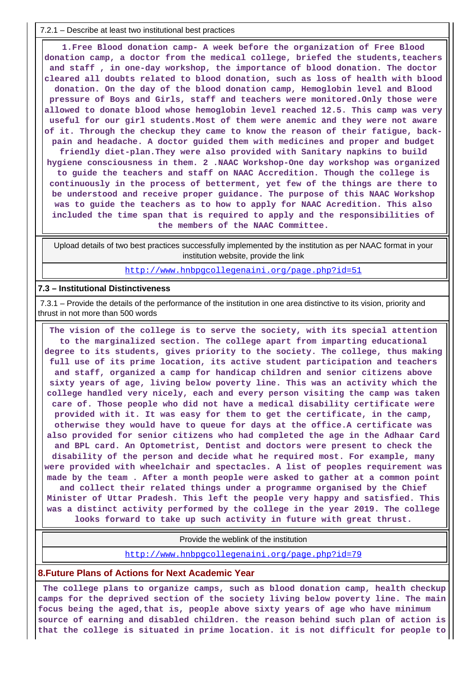7.2.1 – Describe at least two institutional best practices

 **1.Free Blood donation camp- A week before the organization of Free Blood donation camp, a doctor from the medical college, briefed the students,teachers and staff , in one-day workshop, the importance of blood donation. The doctor cleared all doubts related to blood donation, such as loss of health with blood donation. On the day of the blood donation camp, Hemoglobin level and Blood pressure of Boys and Girls, staff and teachers were monitored.Only those were allowed to donate blood whose hemoglobin level reached 12.5. This camp was very useful for our girl students.Most of them were anemic and they were not aware of it. Through the checkup they came to know the reason of their fatigue, backpain and headache. A doctor guided them with medicines and proper and budget friendly diet-plan.They were also provided with Sanitary napkins to build hygiene consciousness in them. 2 .NAAC Workshop-One day workshop was organized to guide the teachers and staff on NAAC Accredition. Though the college is continuously in the process of betterment, yet few of the things are there to be understood and receive proper guidance. The purpose of this NAAC Workshop was to guide the teachers as to how to apply for NAAC Acredition. This also included the time span that is required to apply and the responsibilities of the members of the NAAC Committee.**

 Upload details of two best practices successfully implemented by the institution as per NAAC format in your institution website, provide the link

<http://www.hnbpgcollegenaini.org/page.php?id=51>

#### **7.3 – Institutional Distinctiveness**

 7.3.1 – Provide the details of the performance of the institution in one area distinctive to its vision, priority and thrust in not more than 500 words

 **The vision of the college is to serve the society, with its special attention to the marginalized section. The college apart from imparting educational degree to its students, gives priority to the society. The college, thus making full use of its prime location, its active student participation and teachers and staff, organized a camp for handicap children and senior citizens above sixty years of age, living below poverty line. This was an activity which the college handled very nicely, each and every person visiting the camp was taken care of. Those people who did not have a medical disability certificate were provided with it. It was easy for them to get the certificate, in the camp, otherwise they would have to queue for days at the office.A certificate was also provided for senior citizens who had completed the age in the Adhaar Card and BPL card. An Optometrist, Dentist and doctors were present to check the disability of the person and decide what he required most. For example, many were provided with wheelchair and spectacles. A list of peoples requirement was made by the team . After a month people were asked to gather at a common point and collect their related things under a programme organised by the Chief Minister of Uttar Pradesh. This left the people very happy and satisfied. This was a distinct activity performed by the college in the year 2019. The college looks forward to take up such activity in future with great thrust.**

Provide the weblink of the institution

<http://www.hnbpgcollegenaini.org/page.php?id=79>

#### **8.Future Plans of Actions for Next Academic Year**

 **The college plans to organize camps, such as blood donation camp, health checkup camps for the deprived section of the society living below poverty line. The main focus being the aged,that is, people above sixty years of age who have minimum source of earning and disabled children. the reason behind such plan of action is that the college is situated in prime location. it is not difficult for people to**